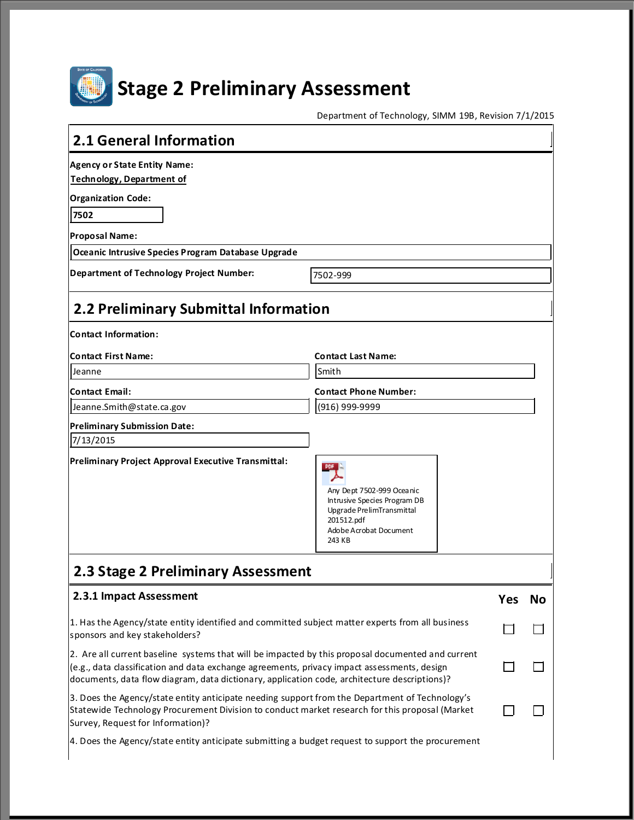

# **Stage 2 Preliminary Assessment**

Department of Technology, SIMM 19B, Revision 7/1/2015

| 2.1 General Information                                                                                                                                                                                                                                                                          |                                                                                                                                                                                                  |     |    |  |
|--------------------------------------------------------------------------------------------------------------------------------------------------------------------------------------------------------------------------------------------------------------------------------------------------|--------------------------------------------------------------------------------------------------------------------------------------------------------------------------------------------------|-----|----|--|
| <b>Agency or State Entity Name:</b><br><b>Technology, Department of</b>                                                                                                                                                                                                                          |                                                                                                                                                                                                  |     |    |  |
| <b>Organization Code:</b>                                                                                                                                                                                                                                                                        |                                                                                                                                                                                                  |     |    |  |
| 7502                                                                                                                                                                                                                                                                                             |                                                                                                                                                                                                  |     |    |  |
| <b>Proposal Name:</b>                                                                                                                                                                                                                                                                            |                                                                                                                                                                                                  |     |    |  |
| Oceanic Intrusive Species Program Database Upgrade                                                                                                                                                                                                                                               |                                                                                                                                                                                                  |     |    |  |
| Department of Technology Project Number:                                                                                                                                                                                                                                                         | 7502-999                                                                                                                                                                                         |     |    |  |
| 2.2 Preliminary Submittal Information                                                                                                                                                                                                                                                            |                                                                                                                                                                                                  |     |    |  |
| <b>Contact Information:</b>                                                                                                                                                                                                                                                                      |                                                                                                                                                                                                  |     |    |  |
| <b>Contact First Name:</b>                                                                                                                                                                                                                                                                       | <b>Contact Last Name:</b>                                                                                                                                                                        |     |    |  |
| Jeanne                                                                                                                                                                                                                                                                                           | Smith                                                                                                                                                                                            |     |    |  |
| <b>Contact Email:</b>                                                                                                                                                                                                                                                                            | <b>Contact Phone Number:</b>                                                                                                                                                                     |     |    |  |
| Jeanne.Smith@state.ca.gov                                                                                                                                                                                                                                                                        | (916) 999-9999                                                                                                                                                                                   |     |    |  |
| <b>Preliminary Submission Date:</b>                                                                                                                                                                                                                                                              |                                                                                                                                                                                                  |     |    |  |
| 7/13/2015                                                                                                                                                                                                                                                                                        |                                                                                                                                                                                                  |     |    |  |
| Preliminary Project Approval Executive Transmittal:                                                                                                                                                                                                                                              | Any Dept 7502-999 Oceanic<br>Intrusive Species Program DB<br>Upgrade PrelimTransmittal<br>201512.pdf<br>Adobe Acrobat Document<br>243 KB                                                         |     |    |  |
| 2.3 Stage 2 Preliminary Assessment                                                                                                                                                                                                                                                               |                                                                                                                                                                                                  |     |    |  |
| 2.3.1 Impact Assessment                                                                                                                                                                                                                                                                          |                                                                                                                                                                                                  | Yes | No |  |
| 1. Has the Agency/state entity identified and committed subject matter experts from all business<br>sponsors and key stakeholders?                                                                                                                                                               |                                                                                                                                                                                                  |     |    |  |
| 2. Are all current baseline systems that will be impacted by this proposal documented and current<br>(e.g., data classification and data exchange agreements, privacy impact assessments, design<br>documents, data flow diagram, data dictionary, application code, architecture descriptions)? |                                                                                                                                                                                                  |     |    |  |
| Survey, Request for Information)?                                                                                                                                                                                                                                                                | 3. Does the Agency/state entity anticipate needing support from the Department of Technology's<br>Statewide Technology Procurement Division to conduct market research for this proposal (Market |     |    |  |
| 4. Does the Agency/state entity anticipate submitting a budget request to support the procurement                                                                                                                                                                                                |                                                                                                                                                                                                  |     |    |  |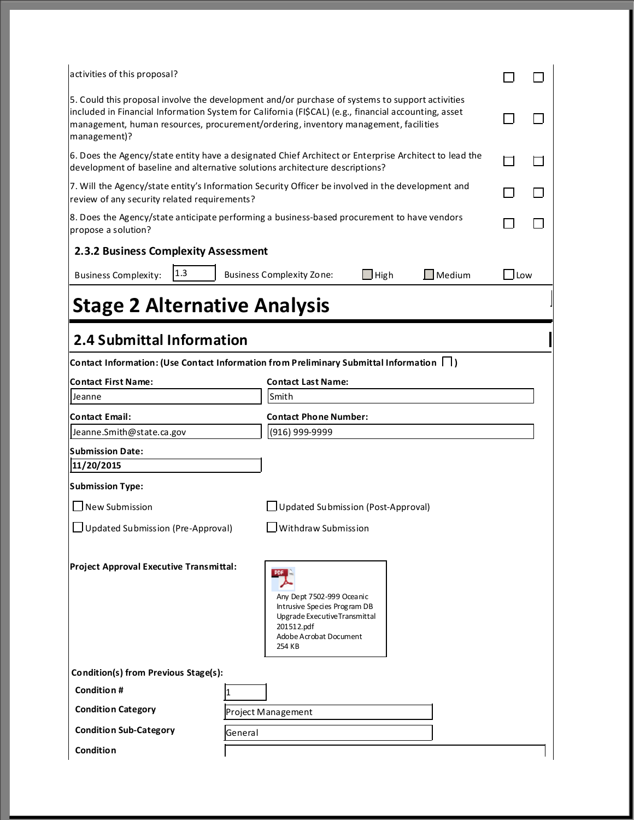| activities of this proposal?                                                                                                                                                                                                                                                                                   |         |                                                                                                                                                            |                    |                             |                              |  |
|----------------------------------------------------------------------------------------------------------------------------------------------------------------------------------------------------------------------------------------------------------------------------------------------------------------|---------|------------------------------------------------------------------------------------------------------------------------------------------------------------|--------------------|-----------------------------|------------------------------|--|
| 5. Could this proposal involve the development and/or purchase of systems to support activities<br>included in Financial Information System for California (FI\$CAL) (e.g., financial accounting, asset<br>management, human resources, procurement/ordering, inventory management, facilities<br>management)? |         |                                                                                                                                                            |                    |                             |                              |  |
| 6. Does the Agency/state entity have a designated Chief Architect or Enterprise Architect to lead the<br>development of baseline and alternative solutions architecture descriptions?                                                                                                                          |         |                                                                                                                                                            |                    |                             |                              |  |
| 7. Will the Agency/state entity's Information Security Officer be involved in the development and<br>review of any security related requirements?                                                                                                                                                              |         |                                                                                                                                                            |                    |                             |                              |  |
| 8. Does the Agency/state anticipate performing a business-based procurement to have vendors<br>propose a solution?                                                                                                                                                                                             |         |                                                                                                                                                            |                    |                             |                              |  |
| 2.3.2 Business Complexity Assessment<br> 1.3 <br><b>Business Complexity:</b><br><b>Stage 2 Alternative Analysis</b>                                                                                                                                                                                            |         | <b>Business Complexity Zone:</b>                                                                                                                           | $\mathsf{\_}$ High | $\sqrt{\phantom{a}}$ Medium | $\overline{\phantom{a}}$ Low |  |
| 2.4 Submittal Information                                                                                                                                                                                                                                                                                      |         |                                                                                                                                                            |                    |                             |                              |  |
| Contact Information: (Use Contact Information from Preliminary Submittal Information     )                                                                                                                                                                                                                     |         |                                                                                                                                                            |                    |                             |                              |  |
| <b>Contact First Name:</b>                                                                                                                                                                                                                                                                                     |         |                                                                                                                                                            |                    |                             |                              |  |
| Jeanne                                                                                                                                                                                                                                                                                                         |         | <b>Contact Last Name:</b>                                                                                                                                  |                    |                             |                              |  |
|                                                                                                                                                                                                                                                                                                                |         | Smith                                                                                                                                                      |                    |                             |                              |  |
| <b>Contact Email:</b>                                                                                                                                                                                                                                                                                          |         | <b>Contact Phone Number:</b>                                                                                                                               |                    |                             |                              |  |
| Jeanne.Smith@state.ca.gov                                                                                                                                                                                                                                                                                      |         | (916) 999-9999                                                                                                                                             |                    |                             |                              |  |
|                                                                                                                                                                                                                                                                                                                |         |                                                                                                                                                            |                    |                             |                              |  |
| 11/20/2015                                                                                                                                                                                                                                                                                                     |         |                                                                                                                                                            |                    |                             |                              |  |
|                                                                                                                                                                                                                                                                                                                |         |                                                                                                                                                            |                    |                             |                              |  |
| New Submission                                                                                                                                                                                                                                                                                                 |         | Updated Submission (Post-Approval)                                                                                                                         |                    |                             |                              |  |
| <b>Submission Date:</b><br><b>Submission Type:</b><br>Updated Submission (Pre-Approval)                                                                                                                                                                                                                        |         | Withdraw Submission                                                                                                                                        |                    |                             |                              |  |
| Project Approval Executive Transmittal:                                                                                                                                                                                                                                                                        |         | <b>PDF</b><br>Any Dept 7502-999 Oceanic<br>Intrusive Species Program DB<br>Upgrade Executive Transmittal<br>201512.pdf<br>Adobe Acrobat Document<br>254 KB |                    |                             |                              |  |
|                                                                                                                                                                                                                                                                                                                |         |                                                                                                                                                            |                    |                             |                              |  |
| Condition(s) from Previous Stage(s):<br>Condition #                                                                                                                                                                                                                                                            |         |                                                                                                                                                            |                    |                             |                              |  |
| <b>Condition Category</b>                                                                                                                                                                                                                                                                                      |         |                                                                                                                                                            |                    |                             |                              |  |
| <b>Condition Sub-Category</b>                                                                                                                                                                                                                                                                                  | General | Project Management                                                                                                                                         |                    |                             |                              |  |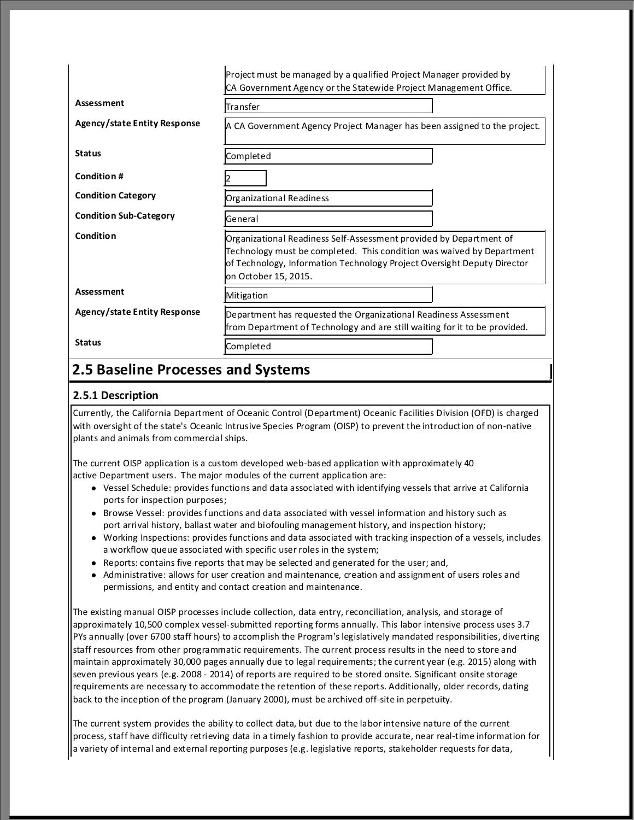|                               | Project must be managed by a qualified Project Manager provided by<br>CA Government Agency or the Statewide Project Management Office.                                                                                                         |  |  |
|-------------------------------|------------------------------------------------------------------------------------------------------------------------------------------------------------------------------------------------------------------------------------------------|--|--|
| <b>Assessment</b>             | Transfer                                                                                                                                                                                                                                       |  |  |
| Agency/state Entity Response  | A CA Government Agency Project Manager has been assigned to the project.                                                                                                                                                                       |  |  |
| <b>Status</b>                 | Completed                                                                                                                                                                                                                                      |  |  |
| <b>Condition#</b>             |                                                                                                                                                                                                                                                |  |  |
| <b>Condition Category</b>     | Organizational Readiness                                                                                                                                                                                                                       |  |  |
| <b>Condition Sub-Category</b> | General                                                                                                                                                                                                                                        |  |  |
| Condition                     | Organizational Readiness Self-Assessment provided by Department of<br>Technology must be completed. This condition was waived by Department<br>of Technology, Information Technology Project Oversight Deputy Director<br>on October 15, 2015. |  |  |
| <b>Assessment</b>             | Mitigation                                                                                                                                                                                                                                     |  |  |
| Agency/state Entity Response  | Department has requested the Organizational Readiness Assessment<br>from Department of Technology and are still waiting for it to be provided.                                                                                                 |  |  |
| <b>Status</b>                 | Completed                                                                                                                                                                                                                                      |  |  |

### **2.5 Baseline Processes and Systems**

#### **2.5.1 Description**

Currently, the California Department of Oceanic Control (Department) Oceanic Facilities Division (OFD) is charged with oversight of the state's Oceanic Intrusive Species Program (OISP) to prevent the introduction of non-native plants and animals from commercial ships.

The current OISP application is a custom developed web-based application with approximately 40 active Department users. The major modules of the current application are:

- Vessel Schedule: provides functions and data associated with identifying vessels that arrive at California ports for inspection purposes;
- **•** Browse Vessel: provides functions and data associated with vessel information and history such as port arrival history, ballast water and biofouling management history, and inspection history;
- <sup>l</sup> Working Inspections: provides functions and data associated with tracking inspection of a vessels, includes a workflow queue associated with specific user roles in the system;
- $\bullet$  Reports: contains five reports that may be selected and generated for the user; and,
- Administrative: allows for user creation and maintenance, creation and assignment of users roles and permissions, and entity and contact creation and maintenance.

The existing manual OISP processes include collection, data entry, reconciliation, analysis, and storage of approximately 10,500 complex vessel-submitted reporting forms annually. This labor intensive process uses 3.7 PYs annually (over 6700 staff hours) to accomplish the Program's legislatively mandated responsibilities, diverting staff resources from other programmatic requirements. The current process results in the need to store and maintain approximately 30,000 pages annually due to legal requirements; the current year (e.g. 2015) along with seven previous years (e.g. 2008 - 2014) of reports are required to be stored onsite. Significant onsite storage requirements are necessary to accommodate the retention of these reports. Additionally, older records, dating back to the inception of the program (January 2000), must be archived off-site in perpetuity.

The current system provides the ability to collect data, but due to the labor intensive nature of the current process, staff have difficulty retrieving data in a timely fashion to provide accurate, near real-time information for a variety of internal and external reporting purposes (e.g. legislative reports, stakeholder requests for data,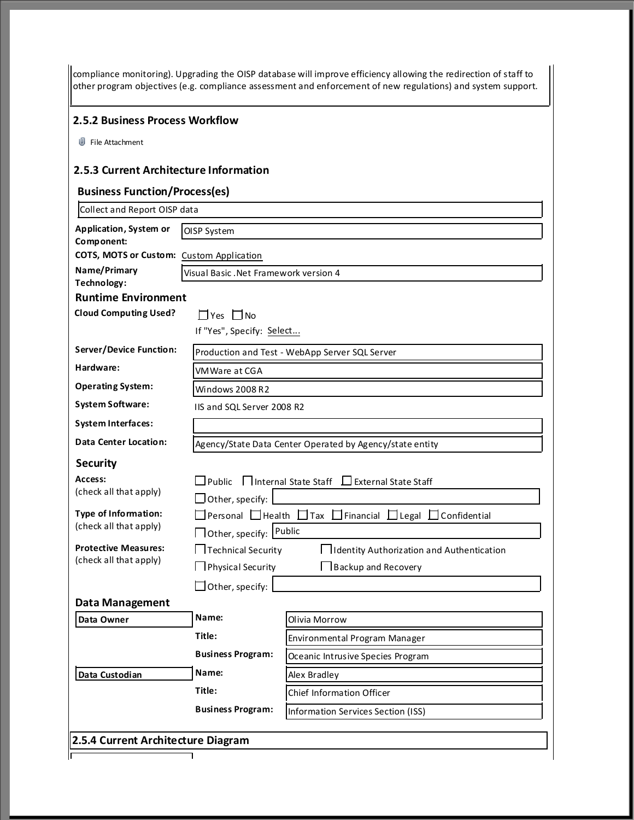| 2.5.2 Business Process Workflow                            |                                       |                                                                                            |
|------------------------------------------------------------|---------------------------------------|--------------------------------------------------------------------------------------------|
| U File Attachment                                          |                                       |                                                                                            |
| 2.5.3 Current Architecture Information                     |                                       |                                                                                            |
| <b>Business Function/Process(es)</b>                       |                                       |                                                                                            |
| Collect and Report OISP data                               |                                       |                                                                                            |
| <b>Application, System or</b>                              | OISP System                           |                                                                                            |
| Component:<br>COTS, MOTS or Custom: Custom Application     |                                       |                                                                                            |
| Name/Primary                                               | Visual Basic, Net Framework version 4 |                                                                                            |
| Technology:                                                |                                       |                                                                                            |
| <b>Runtime Environment</b><br><b>Cloud Computing Used?</b> | $\Box$ Yes $\Box$ No                  |                                                                                            |
|                                                            | If "Yes", Specify: Select             |                                                                                            |
| Server/Device Function:                                    |                                       | Production and Test - WebApp Server SQL Server                                             |
| Hardware:                                                  | VMWare at CGA                         |                                                                                            |
| <b>Operating System:</b>                                   | Windows 2008 R2                       |                                                                                            |
| <b>System Software:</b>                                    | IIS and SQL Server 2008 R2            |                                                                                            |
| <b>System Interfaces:</b>                                  |                                       |                                                                                            |
| Data Center Location:                                      |                                       | Agency/State Data Center Operated by Agency/state entity                                   |
| <b>Security</b>                                            |                                       |                                                                                            |
| Access:                                                    | <b>Public</b>                         | □ Internal State Staff □ External State Staff                                              |
| (check all that apply)                                     | $\Box$ Other, specify:                |                                                                                            |
| <b>Type of Information:</b>                                |                                       | $\Box$ Personal $\Box$ Health $\Box$ Tax $\Box$ Financial $\Box$ Legal $\Box$ Confidential |
| (check all that apply)                                     | □ Other, specify: Public              |                                                                                            |
| <b>Protective Measures:</b><br>(check all that apply)      | $\Box$ Technical Security             | IIdentity Authorization and Authentication                                                 |
|                                                            | $\Box$ Physical Security              | Backup and Recovery                                                                        |
|                                                            | $\Box$ Other, specify:                |                                                                                            |
| <b>Data Management</b><br>Data Owner                       | Name:                                 | Olivia Morrow                                                                              |
|                                                            | Title:                                | Environmental Program Manager                                                              |
|                                                            | <b>Business Program:</b>              | Oceanic Intrusive Species Program                                                          |
| Data Custodian                                             | Name:                                 | Alex Bradley                                                                               |
|                                                            | Title:                                | Chief Information Officer                                                                  |
|                                                            | <b>Business Program:</b>              | <b>Information Services Section (ISS)</b>                                                  |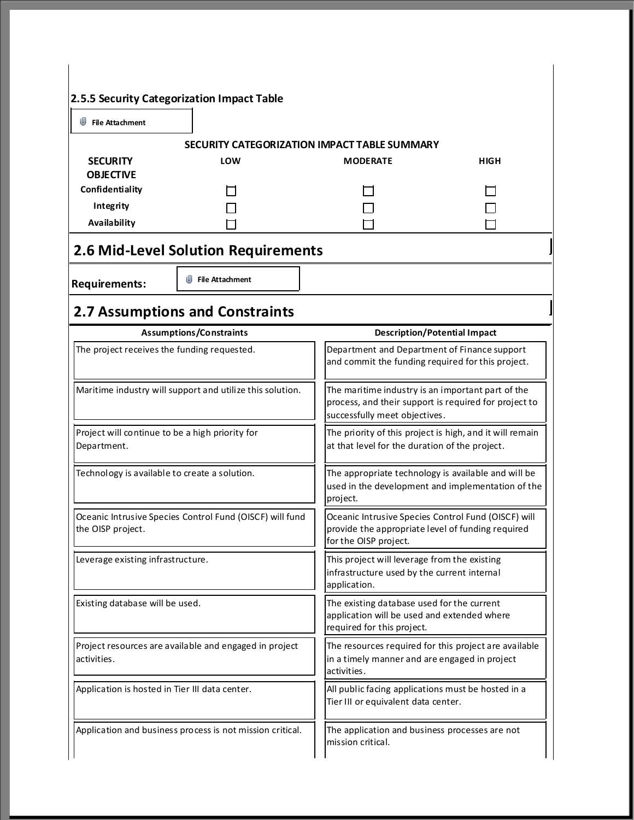| w<br><b>File Attachment</b>                                                   |                                                                          |                                                                                                                                             |                                                |  |
|-------------------------------------------------------------------------------|--------------------------------------------------------------------------|---------------------------------------------------------------------------------------------------------------------------------------------|------------------------------------------------|--|
|                                                                               | SECURITY CATEGORIZATION IMPACT TABLE SUMMARY                             |                                                                                                                                             |                                                |  |
| <b>SECURITY</b><br><b>OBJECTIVE</b>                                           | LOW                                                                      | <b>MODERATE</b>                                                                                                                             | <b>HIGH</b>                                    |  |
| Confidentiality<br>Integrity                                                  |                                                                          |                                                                                                                                             |                                                |  |
| Availability                                                                  |                                                                          |                                                                                                                                             |                                                |  |
|                                                                               | 2.6 Mid-Level Solution Requirements<br>$\mathbb U$ File Attachment       |                                                                                                                                             |                                                |  |
| <b>Requirements:</b>                                                          |                                                                          |                                                                                                                                             |                                                |  |
|                                                                               | <b>2.7 Assumptions and Constraints</b><br><b>Assumptions/Constraints</b> | <b>Description/Potential Impact</b>                                                                                                         |                                                |  |
| The project receives the funding requested.                                   |                                                                          | Department and Department of Finance support<br>and commit the funding required for this project.                                           |                                                |  |
|                                                                               | Maritime industry will support and utilize this solution.                | The maritime industry is an important part of the<br>process, and their support is required for project to<br>successfully meet objectives. |                                                |  |
| Project will continue to be a high priority for<br>Department.                |                                                                          | The priority of this project is high, and it will remain<br>at that level for the duration of the project.                                  |                                                |  |
| Technology is available to create a solution.                                 |                                                                          | The appropriate technology is available and will be<br>used in the development and implementation of the<br>project.                        |                                                |  |
| Oceanic Intrusive Species Control Fund (OISCF) will fund<br>the OISP project. |                                                                          | Oceanic Intrusive Species Control Fund (OISCF) will<br>provide the appropriate level of funding required<br>for the OISP project.           |                                                |  |
| Leverage existing infrastructure.                                             |                                                                          | This project will leverage from the existing<br>infrastructure used by the current internal<br>application.                                 |                                                |  |
| Existing database will be used.                                               |                                                                          | The existing database used for the current<br>application will be used and extended where<br>required for this project.                     |                                                |  |
| Project resources are available and engaged in project<br>activities.         |                                                                          | The resources required for this project are available<br>in a timely manner and are engaged in project<br>activities.                       |                                                |  |
| Application is hosted in Tier III data center.                                |                                                                          | All public facing applications must be hosted in a<br>Tier III or equivalent data center.                                                   |                                                |  |
|                                                                               | Application and business process is not mission critical.                |                                                                                                                                             | The application and business processes are not |  |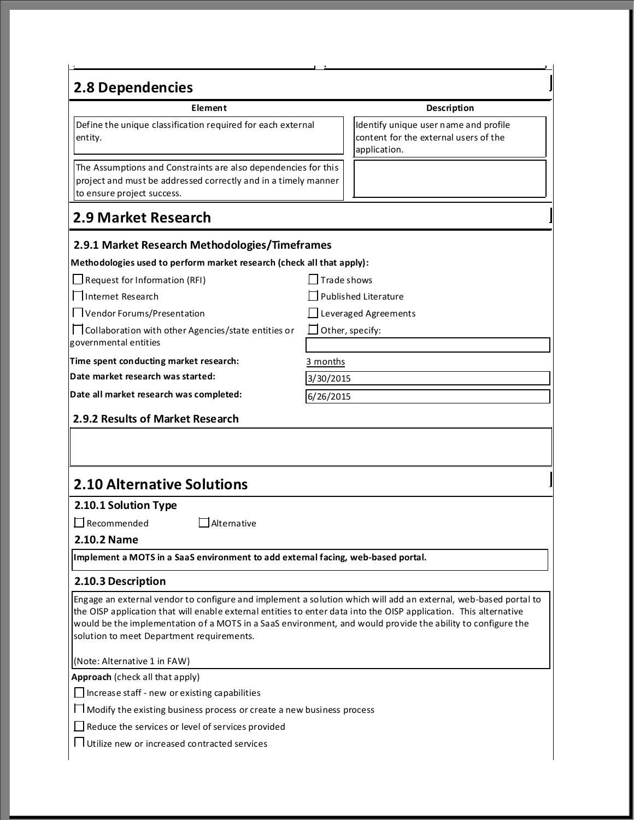## **2.8 Dependencies**

Define the unique classification required for each external entity.

The Assumptions and Constraints are also dependencies for this project and must be addressed correctly and in a timely manner to ensure project success.

### **2.9 Market Research**

#### **2.9.1 Market Research Methodologies/Timeframes**

| Methodologies used to perform market research (check all that apply):          |                             |  |  |  |
|--------------------------------------------------------------------------------|-----------------------------|--|--|--|
| $\Box$ Request for Information (RFI)                                           | Trade shows                 |  |  |  |
| □Internet Research                                                             | $\Box$ Published Literature |  |  |  |
| Vendor Forums/Presentation                                                     | $\Box$ Leveraged Agreements |  |  |  |
| □ Collaboration with other Agencies/state entities or<br>governmental entities | $\Box$ Other, specify:      |  |  |  |
| Time spent conducting market research:                                         | 3 months                    |  |  |  |
| Date market research was started:                                              | 3/30/2015                   |  |  |  |
| Date all market research was completed:                                        | 6/26/2015                   |  |  |  |
| 2.9.2 Results of Market Research                                               |                             |  |  |  |
|                                                                                |                             |  |  |  |
|                                                                                |                             |  |  |  |
|                                                                                |                             |  |  |  |

### **2.10 Alternative Solutions**

#### **2.10.1 Solution Type**

 $\Box$  Recommended  $\Box$  Alternative

#### **2.10.2 Name**

**Implement a MOTS in a SaaS environment to add external facing, web-based portal.**

#### **2.10.3 Description**

Engage an external vendor to configure and implement a solution which will add an external, web-based portal to the OISP application that will enable external entities to enter data into the OISP application. This alternative would be the implementation of a MOTS in a SaaS environment, and would provide the ability to configure the solution to meet Department requirements.

(Note: Alternative 1 in FAW)

**Approach** (check all that apply)

 $\Box$  Increase staff - new or existing capabilities

Modify the existing business process or create a new business process

Reduce the services or level of services provided

Utilize new or increased contracted services

#### **Element Description**

Identify unique user name and profile content for the external users of the application.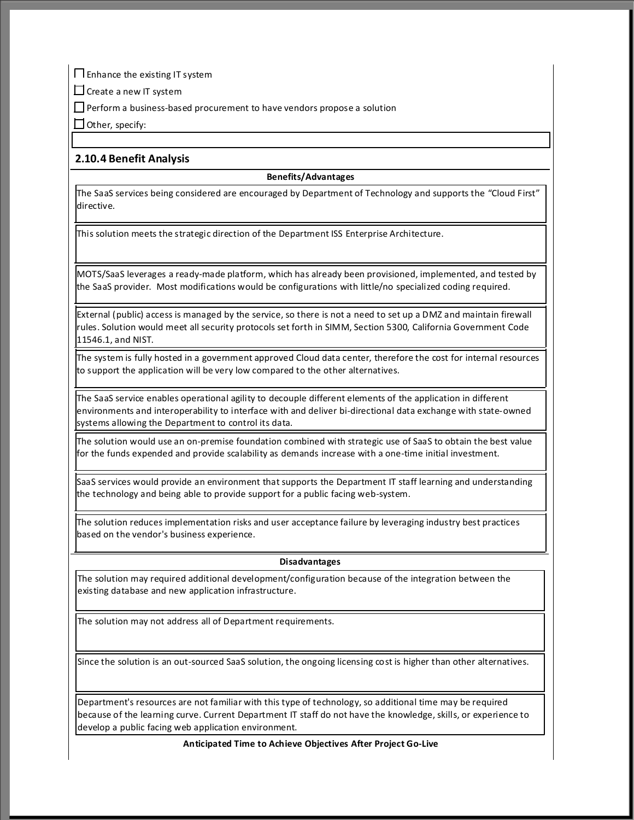Enhance the existing IT system

 $\square$  Create a new IT system

 $\Box$  Perform a business-based procurement to have vendors propose a solution

 $\Box$  Other, specify:

#### **2.10.4 Benefit Analysis**

#### **Benefits/Advantages**

The SaaS services being considered are encouraged by Department of Technology and supports the "Cloud First" directive.

This solution meets the strategic direction of the Department ISS Enterprise Architecture.

MOTS/SaaS leverages a ready-made platform, which has already been provisioned, implemented, and tested by the SaaS provider. Most modifications would be configurations with little/no specialized coding required.

External (public) access is managed by the service, so there is not a need to set up a DMZ and maintain firewall rules. Solution would meet all security protocols set forth in SIMM, Section 5300, California Government Code 11546.1, and NIST.

The system is fully hosted in a government approved Cloud data center, therefore the cost for internal resources to support the application will be very low compared to the other alternatives.

The SaaS service enables operational agility to decouple different elements of the application in different environments and interoperability to interface with and deliver bi-directional data exchange with state-owned systems allowing the Department to control its data.

The solution would use an on-premise foundation combined with strategic use of SaaS to obtain the best value for the funds expended and provide scalability as demands increase with a one-time initial investment.

SaaS services would provide an environment that supports the Department IT staff learning and understanding the technology and being able to provide support for a public facing web-system.

The solution reduces implementation risks and user acceptance failure by leveraging industry best practices based on the vendor's business experience.

#### **Disadvantages**

The solution may required additional development/configuration because of the integration between the existing database and new application infrastructure.

The solution may not address all of Department requirements.

Since the solution is an out-sourced SaaS solution, the ongoing licensing cost is higher than other alternatives.

Department's resources are not familiar with this type of technology, so additional time may be required because of the learning curve. Current Department IT staff do not have the knowledge, skills, or experience to develop a public facing web application environment.

**Anticipated Time to Achieve Objectives After Project Go-Live**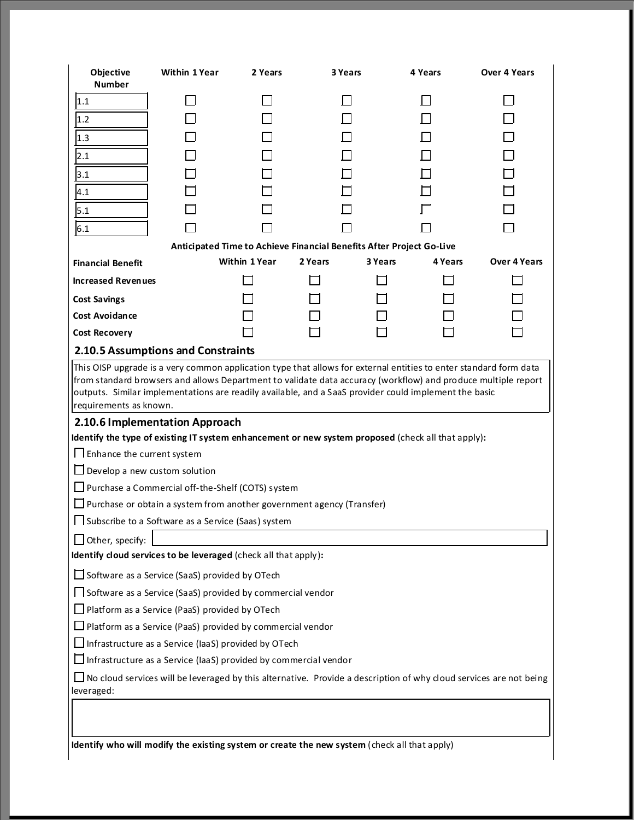| Objective<br><b>Number</b>                                                                                                                                                                                                                                                                                                                                                                                                                                                                                                                                                                                                                                             | <b>Within 1 Year</b>                                                                                               | 2 Years              | 3 Years |         | 4 Years | <b>Over 4 Years</b> |
|------------------------------------------------------------------------------------------------------------------------------------------------------------------------------------------------------------------------------------------------------------------------------------------------------------------------------------------------------------------------------------------------------------------------------------------------------------------------------------------------------------------------------------------------------------------------------------------------------------------------------------------------------------------------|--------------------------------------------------------------------------------------------------------------------|----------------------|---------|---------|---------|---------------------|
| 1.1                                                                                                                                                                                                                                                                                                                                                                                                                                                                                                                                                                                                                                                                    |                                                                                                                    |                      |         |         |         |                     |
| 1.2                                                                                                                                                                                                                                                                                                                                                                                                                                                                                                                                                                                                                                                                    |                                                                                                                    |                      |         |         |         |                     |
|                                                                                                                                                                                                                                                                                                                                                                                                                                                                                                                                                                                                                                                                        |                                                                                                                    |                      |         |         |         |                     |
| 1.3                                                                                                                                                                                                                                                                                                                                                                                                                                                                                                                                                                                                                                                                    |                                                                                                                    |                      |         |         |         |                     |
| 2.1                                                                                                                                                                                                                                                                                                                                                                                                                                                                                                                                                                                                                                                                    |                                                                                                                    |                      |         |         |         |                     |
| 3.1                                                                                                                                                                                                                                                                                                                                                                                                                                                                                                                                                                                                                                                                    |                                                                                                                    |                      |         |         |         |                     |
| 4.1                                                                                                                                                                                                                                                                                                                                                                                                                                                                                                                                                                                                                                                                    |                                                                                                                    |                      |         |         |         |                     |
| 5.1                                                                                                                                                                                                                                                                                                                                                                                                                                                                                                                                                                                                                                                                    |                                                                                                                    |                      |         |         |         |                     |
| 6.1                                                                                                                                                                                                                                                                                                                                                                                                                                                                                                                                                                                                                                                                    |                                                                                                                    |                      |         |         |         |                     |
|                                                                                                                                                                                                                                                                                                                                                                                                                                                                                                                                                                                                                                                                        | Anticipated Time to Achieve Financial Benefits After Project Go-Live                                               |                      |         |         |         |                     |
| <b>Financial Benefit</b>                                                                                                                                                                                                                                                                                                                                                                                                                                                                                                                                                                                                                                               |                                                                                                                    | <b>Within 1 Year</b> | 2 Years | 3 Years | 4 Years | <b>Over 4 Years</b> |
| <b>Increased Revenues</b>                                                                                                                                                                                                                                                                                                                                                                                                                                                                                                                                                                                                                                              |                                                                                                                    |                      |         |         |         |                     |
| <b>Cost Savings</b>                                                                                                                                                                                                                                                                                                                                                                                                                                                                                                                                                                                                                                                    |                                                                                                                    |                      |         |         |         |                     |
| <b>Cost Avoidance</b>                                                                                                                                                                                                                                                                                                                                                                                                                                                                                                                                                                                                                                                  |                                                                                                                    |                      |         |         |         |                     |
| <b>Cost Recovery</b>                                                                                                                                                                                                                                                                                                                                                                                                                                                                                                                                                                                                                                                   |                                                                                                                    |                      |         |         |         |                     |
|                                                                                                                                                                                                                                                                                                                                                                                                                                                                                                                                                                                                                                                                        | 2.10.5 Assumptions and Constraints                                                                                 |                      |         |         |         |                     |
| from standard browsers and allows Department to validate data accuracy (workflow) and produce multiple report<br>outputs. Similar implementations are readily available, and a SaaS provider could implement the basic<br>requirements as known.<br>2.10.6 Implementation Approach<br>Identify the type of existing IT system enhancement or new system proposed (check all that apply):<br>I I Enhance the current system<br>$\Box$ Develop a new custom solution<br>$\Box$ Purchase a Commercial off-the-Shelf (COTS) system<br>$\Box$ Purchase or obtain a system from another government agency (Transfer)<br>□ Subscribe to a Software as a Service (Saas) system |                                                                                                                    |                      |         |         |         |                     |
| $\Box$ Other, specify:                                                                                                                                                                                                                                                                                                                                                                                                                                                                                                                                                                                                                                                 |                                                                                                                    |                      |         |         |         |                     |
|                                                                                                                                                                                                                                                                                                                                                                                                                                                                                                                                                                                                                                                                        | Identify cloud services to be leveraged (check all that apply):                                                    |                      |         |         |         |                     |
|                                                                                                                                                                                                                                                                                                                                                                                                                                                                                                                                                                                                                                                                        | Software as a Service (SaaS) provided by OTech                                                                     |                      |         |         |         |                     |
|                                                                                                                                                                                                                                                                                                                                                                                                                                                                                                                                                                                                                                                                        | Software as a Service (SaaS) provided by commercial vendor                                                         |                      |         |         |         |                     |
|                                                                                                                                                                                                                                                                                                                                                                                                                                                                                                                                                                                                                                                                        | Platform as a Service (PaaS) provided by OTech                                                                     |                      |         |         |         |                     |
| $\Box$ Platform as a Service (PaaS) provided by commercial vendor                                                                                                                                                                                                                                                                                                                                                                                                                                                                                                                                                                                                      |                                                                                                                    |                      |         |         |         |                     |
| $\Box$ Infrastructure as a Service (IaaS) provided by OTech                                                                                                                                                                                                                                                                                                                                                                                                                                                                                                                                                                                                            |                                                                                                                    |                      |         |         |         |                     |
| $\Box$ Infrastructure as a Service (IaaS) provided by commercial vendor                                                                                                                                                                                                                                                                                                                                                                                                                                                                                                                                                                                                |                                                                                                                    |                      |         |         |         |                     |
|                                                                                                                                                                                                                                                                                                                                                                                                                                                                                                                                                                                                                                                                        | No cloud services will be leveraged by this alternative. Provide a description of why cloud services are not being |                      |         |         |         |                     |
| leveraged:                                                                                                                                                                                                                                                                                                                                                                                                                                                                                                                                                                                                                                                             |                                                                                                                    |                      |         |         |         |                     |
|                                                                                                                                                                                                                                                                                                                                                                                                                                                                                                                                                                                                                                                                        |                                                                                                                    |                      |         |         |         |                     |
|                                                                                                                                                                                                                                                                                                                                                                                                                                                                                                                                                                                                                                                                        |                                                                                                                    |                      |         |         |         |                     |
|                                                                                                                                                                                                                                                                                                                                                                                                                                                                                                                                                                                                                                                                        | Identify who will modify the existing system or create the new system (check all that apply)                       |                      |         |         |         |                     |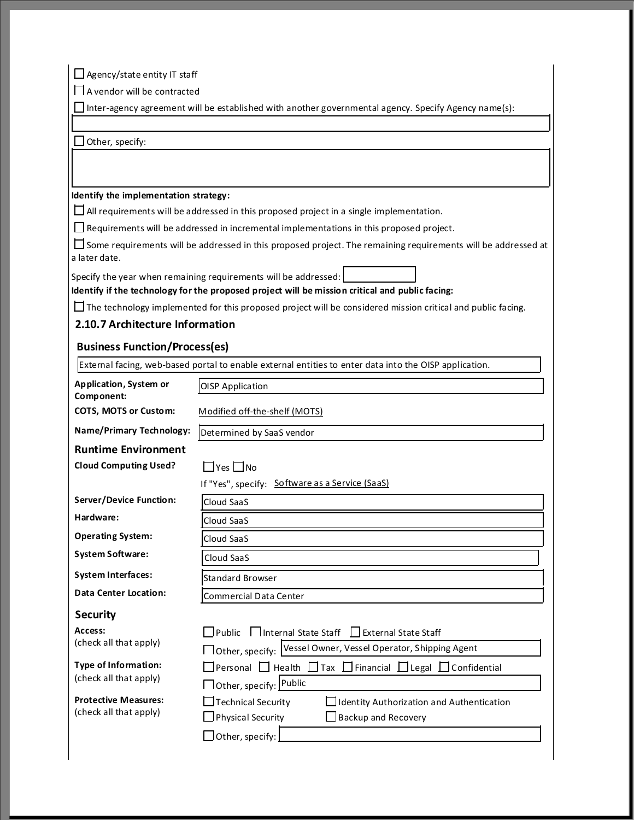$\Box$  Agency/state entity IT staff

A vendor will be contracted

Inter-agency agreement will be established with another governmental agency. Specify Agency name(s):

 $\Box$  Other, specify:

#### **Identify the implementation strategy:**

 $\Box$  All requirements will be addressed in this proposed project in a single implementation.

Requirements will be addressed in incremental implementations in this proposed project.

 $\square$  Some requirements will be addressed in this proposed project. The remaining requirements will be addressed at a later date.

Specify the year when remaining requirements will be addressed:

**Identify if the technology for the proposed project will be mission critical and public facing:**

 $\Box$  The technology implemented for this proposed project will be considered mission critical and public facing.

#### **2.10.7 Architecture Information**

#### **Business Function/Process(es)**

External facing, web-based portal to enable external entities to enter data into the OISP application.

| Application, System or         | <b>OISP Application</b>                                                                    |  |  |
|--------------------------------|--------------------------------------------------------------------------------------------|--|--|
| Component:                     |                                                                                            |  |  |
| COTS, MOTS or Custom:          | Modified off-the-shelf (MOTS)                                                              |  |  |
| Name/Primary Technology:       | Determined by SaaS vendor                                                                  |  |  |
| <b>Runtime Environment</b>     |                                                                                            |  |  |
| <b>Cloud Computing Used?</b>   | $\Box$ Yes $\Box$ No                                                                       |  |  |
|                                | If "Yes", specify: Software as a Service (SaaS)                                            |  |  |
| <b>Server/Device Function:</b> | Cloud SaaS                                                                                 |  |  |
| Hardware:                      | Cloud SaaS                                                                                 |  |  |
| <b>Operating System:</b>       | Cloud SaaS                                                                                 |  |  |
| <b>System Software:</b>        | Cloud SaaS                                                                                 |  |  |
| <b>System Interfaces:</b>      | <b>Standard Browser</b>                                                                    |  |  |
| <b>Data Center Location:</b>   | <b>Commercial Data Center</b>                                                              |  |  |
| <b>Security</b>                |                                                                                            |  |  |
| Access:                        | Bublic<br>□ Internal State Staff LI External State Staff                                   |  |  |
| (check all that apply)         | □ Other, specify: Vessel Owner, Vessel Operator, Shipping Agent                            |  |  |
| <b>Type of Information:</b>    | $\Box$ Personal $\Box$ Health $\Box$ Tax $\Box$ Financial $\Box$ Legal $\Box$ Confidential |  |  |
| (check all that apply)         | □ Other, specify: Public                                                                   |  |  |
| <b>Protective Measures:</b>    | Technical Security<br>Identity Authorization and Authentication                            |  |  |
| (check all that apply)         | Physical Security<br><b>Backup and Recovery</b>                                            |  |  |
|                                | $ $ Other, specify: $ $                                                                    |  |  |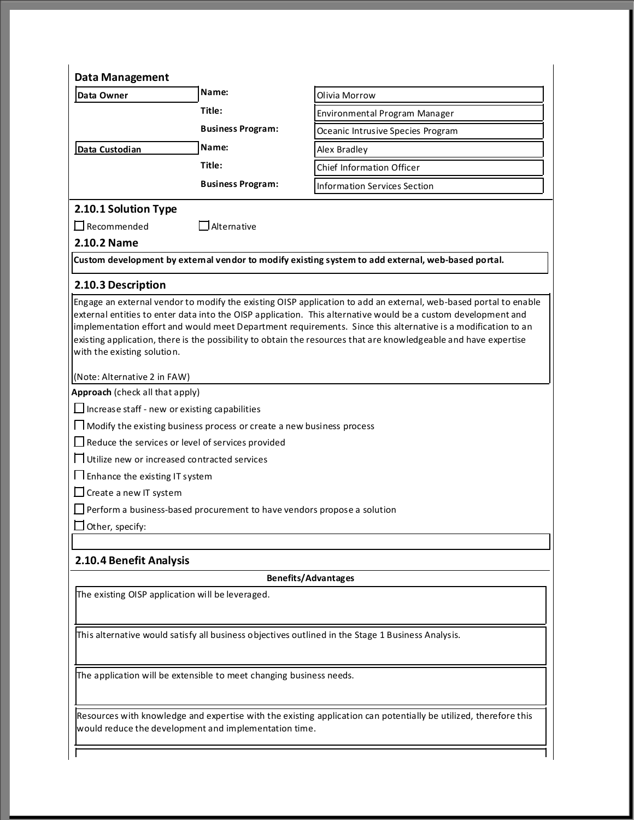| <b>Data Management</b>                                                                                                                                                                                                                                                                                                                                                                                                                                                                                                                                                                                                                                                                                                                                                                                                                                                                                                                                                                          |                                     |                                                                                                    |  |  |
|-------------------------------------------------------------------------------------------------------------------------------------------------------------------------------------------------------------------------------------------------------------------------------------------------------------------------------------------------------------------------------------------------------------------------------------------------------------------------------------------------------------------------------------------------------------------------------------------------------------------------------------------------------------------------------------------------------------------------------------------------------------------------------------------------------------------------------------------------------------------------------------------------------------------------------------------------------------------------------------------------|-------------------------------------|----------------------------------------------------------------------------------------------------|--|--|
| Data Owner                                                                                                                                                                                                                                                                                                                                                                                                                                                                                                                                                                                                                                                                                                                                                                                                                                                                                                                                                                                      | Name:                               | Olivia Morrow                                                                                      |  |  |
|                                                                                                                                                                                                                                                                                                                                                                                                                                                                                                                                                                                                                                                                                                                                                                                                                                                                                                                                                                                                 | Title:                              | Environmental Program Manager                                                                      |  |  |
|                                                                                                                                                                                                                                                                                                                                                                                                                                                                                                                                                                                                                                                                                                                                                                                                                                                                                                                                                                                                 | <b>Business Program:</b>            | Oceanic Intrusive Species Program                                                                  |  |  |
| Data Custodian                                                                                                                                                                                                                                                                                                                                                                                                                                                                                                                                                                                                                                                                                                                                                                                                                                                                                                                                                                                  | Name:                               | Alex Bradley                                                                                       |  |  |
|                                                                                                                                                                                                                                                                                                                                                                                                                                                                                                                                                                                                                                                                                                                                                                                                                                                                                                                                                                                                 | Title:                              | <b>Chief Information Officer</b>                                                                   |  |  |
|                                                                                                                                                                                                                                                                                                                                                                                                                                                                                                                                                                                                                                                                                                                                                                                                                                                                                                                                                                                                 | <b>Business Program:</b>            | <b>Information Services Section</b>                                                                |  |  |
| 2.10.1 Solution Type                                                                                                                                                                                                                                                                                                                                                                                                                                                                                                                                                                                                                                                                                                                                                                                                                                                                                                                                                                            |                                     |                                                                                                    |  |  |
| $\Box$ Recommended                                                                                                                                                                                                                                                                                                                                                                                                                                                                                                                                                                                                                                                                                                                                                                                                                                                                                                                                                                              | $\mathsf{\overline{J}}$ Alternative |                                                                                                    |  |  |
| 2.10.2 Name                                                                                                                                                                                                                                                                                                                                                                                                                                                                                                                                                                                                                                                                                                                                                                                                                                                                                                                                                                                     |                                     |                                                                                                    |  |  |
|                                                                                                                                                                                                                                                                                                                                                                                                                                                                                                                                                                                                                                                                                                                                                                                                                                                                                                                                                                                                 |                                     | Custom development by external vendor to modify existing system to add external, web-based portal. |  |  |
| 2.10.3 Description                                                                                                                                                                                                                                                                                                                                                                                                                                                                                                                                                                                                                                                                                                                                                                                                                                                                                                                                                                              |                                     |                                                                                                    |  |  |
| Engage an external vendor to modify the existing OISP application to add an external, web-based portal to enable<br>external entities to enter data into the OISP application. This alternative would be a custom development and<br>implementation effort and would meet Department requirements. Since this alternative is a modification to an<br>existing application, there is the possibility to obtain the resources that are knowledgeable and have expertise<br>with the existing solution.<br>(Note: Alternative 2 in FAW)<br>Approach (check all that apply)<br>$\Box$ Increase staff - new or existing capabilities<br>    Modify the existing business process or create a new business process<br>$\Box$ Reduce the services or level of services provided<br>□ Utilize new or increased contracted services<br>I I Enhance the existing IT system<br>$\Box$ Create a new IT system<br>Perform a business-based procurement to have vendors propose a solution<br>Other, specify: |                                     |                                                                                                    |  |  |
|                                                                                                                                                                                                                                                                                                                                                                                                                                                                                                                                                                                                                                                                                                                                                                                                                                                                                                                                                                                                 |                                     |                                                                                                    |  |  |
| 2.10.4 Benefit Analysis                                                                                                                                                                                                                                                                                                                                                                                                                                                                                                                                                                                                                                                                                                                                                                                                                                                                                                                                                                         |                                     |                                                                                                    |  |  |
|                                                                                                                                                                                                                                                                                                                                                                                                                                                                                                                                                                                                                                                                                                                                                                                                                                                                                                                                                                                                 |                                     | <b>Benefits/Advantages</b>                                                                         |  |  |
| The existing OISP application will be leveraged.                                                                                                                                                                                                                                                                                                                                                                                                                                                                                                                                                                                                                                                                                                                                                                                                                                                                                                                                                |                                     |                                                                                                    |  |  |
|                                                                                                                                                                                                                                                                                                                                                                                                                                                                                                                                                                                                                                                                                                                                                                                                                                                                                                                                                                                                 |                                     | This alternative would satisfy all business objectives outlined in the Stage 1 Business Analysis.  |  |  |

The application will be extensible to meet changing business needs.

Resources with knowledge and expertise with the existing application can potentially be utilized, therefore this would reduce the development and implementation time.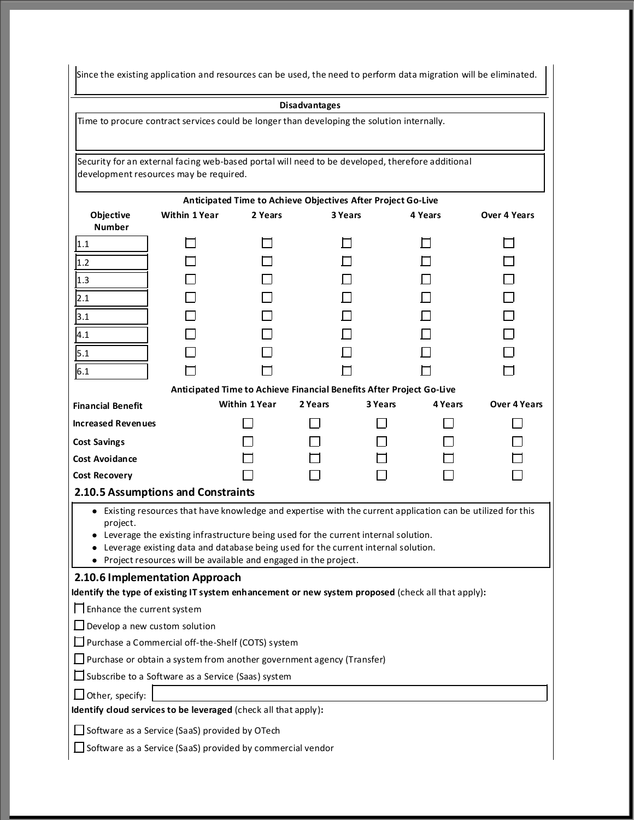Since the existing application and resources can be used, the need to perform data migration will be eliminated.

**Disadvantages**

Time to procure contract services could be longer than developing the solution internally.

Security for an external facing web-based portal will need to be developed, therefore additional development resources may be required.

|                                                                                                     | Anticipated Time to Achieve Objectives After Project Go-Live                                                                            |                      |                                                                      |         |         |                     |
|-----------------------------------------------------------------------------------------------------|-----------------------------------------------------------------------------------------------------------------------------------------|----------------------|----------------------------------------------------------------------|---------|---------|---------------------|
| Objective                                                                                           | <b>Within 1 Year</b>                                                                                                                    | 2 Years              | 3 Years                                                              |         |         | <b>Over 4 Years</b> |
| <b>Number</b>                                                                                       |                                                                                                                                         |                      |                                                                      |         | 4 Years |                     |
| 1.1                                                                                                 |                                                                                                                                         |                      |                                                                      |         |         |                     |
| 1.2                                                                                                 |                                                                                                                                         |                      |                                                                      |         |         |                     |
| 1.3                                                                                                 |                                                                                                                                         |                      |                                                                      |         |         |                     |
| 2.1                                                                                                 |                                                                                                                                         |                      |                                                                      |         |         |                     |
| 3.1                                                                                                 |                                                                                                                                         |                      |                                                                      |         |         |                     |
| 4.1                                                                                                 |                                                                                                                                         |                      |                                                                      |         |         |                     |
| 5.1                                                                                                 |                                                                                                                                         |                      |                                                                      |         |         |                     |
| 6.1                                                                                                 |                                                                                                                                         |                      |                                                                      |         |         |                     |
|                                                                                                     |                                                                                                                                         |                      | Anticipated Time to Achieve Financial Benefits After Project Go-Live |         |         |                     |
| <b>Financial Benefit</b>                                                                            |                                                                                                                                         | <b>Within 1 Year</b> | 2 Years                                                              | 3 Years | 4 Years | Over 4 Years        |
| <b>Increased Revenues</b>                                                                           |                                                                                                                                         |                      |                                                                      |         |         |                     |
| <b>Cost Savings</b>                                                                                 |                                                                                                                                         |                      |                                                                      |         |         |                     |
| Cost Avoidance                                                                                      |                                                                                                                                         |                      |                                                                      |         |         |                     |
| <b>Cost Recovery</b>                                                                                |                                                                                                                                         |                      |                                                                      |         |         |                     |
|                                                                                                     | 2.10.5 Assumptions and Constraints                                                                                                      |                      |                                                                      |         |         |                     |
| project.                                                                                            | • Existing resources that have knowledge and expertise with the current application can be utilized for this                            |                      |                                                                      |         |         |                     |
|                                                                                                     | • Leverage the existing infrastructure being used for the current internal solution.                                                    |                      |                                                                      |         |         |                     |
| Leverage existing data and database being used for the current internal solution.                   |                                                                                                                                         |                      |                                                                      |         |         |                     |
| • Project resources will be available and engaged in the project.<br>2.10.6 Implementation Approach |                                                                                                                                         |                      |                                                                      |         |         |                     |
|                                                                                                     |                                                                                                                                         |                      |                                                                      |         |         |                     |
|                                                                                                     | Identify the type of existing IT system enhancement or new system proposed (check all that apply):<br>$\Box$ Enhance the current system |                      |                                                                      |         |         |                     |
| $\Box$ Develop a new custom solution                                                                |                                                                                                                                         |                      |                                                                      |         |         |                     |
| □ Purchase a Commercial off-the-Shelf (COTS) system                                                 |                                                                                                                                         |                      |                                                                      |         |         |                     |
| $\Box$ Purchase or obtain a system from another government agency (Transfer)                        |                                                                                                                                         |                      |                                                                      |         |         |                     |
| $\Box$ Subscribe to a Software as a Service (Saas) system                                           |                                                                                                                                         |                      |                                                                      |         |         |                     |
| $\Box$ Other, specify:                                                                              |                                                                                                                                         |                      |                                                                      |         |         |                     |
| Identify cloud services to be leveraged (check all that apply):                                     |                                                                                                                                         |                      |                                                                      |         |         |                     |
| $\Box$ Software as a Service (SaaS) provided by OTech                                               |                                                                                                                                         |                      |                                                                      |         |         |                     |
| $\Box$ Software as a Service (SaaS) provided by commercial vendor                                   |                                                                                                                                         |                      |                                                                      |         |         |                     |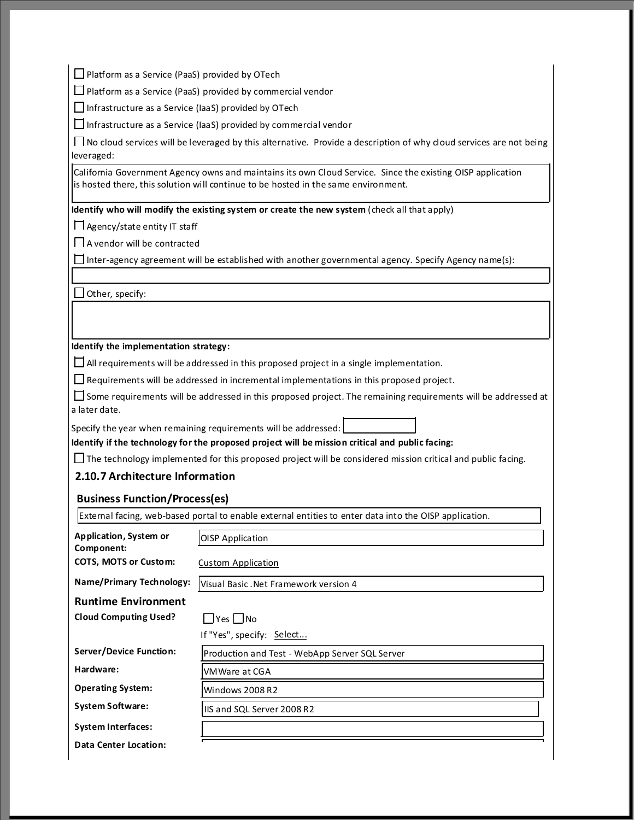$\Box$  Platform as a Service (PaaS) provided by OTech

 $\Box$  Platform as a Service (PaaS) provided by commercial vendor

 $\Box$  Infrastructure as a Service (IaaS) provided by OTech

 $\square$  Infrastructure as a Service (IaaS) provided by commercial vendor

No cloud services will be leveraged by this alternative. Provide a description of why cloud services are not being leveraged:

California Government Agency owns and maintains its own Cloud Service. Since the existing OISP application is hosted there, this solution will continue to be hosted in the same environment.

**Identify who will modify the existing system or create the new system** (check all that apply)

Agency/state entity IT staff

A vendor will be contracted

 $\square$  Inter-agency agreement will be established with another governmental agency. Specify Agency name(s):

 $\Box$  Other, specify:

#### **Identify the implementation strategy:**

 $\Box$  All requirements will be addressed in this proposed project in a single implementation.

 $\Box$  Requirements will be addressed in incremental implementations in this proposed project.

Some requirements will be addressed in this proposed project. The remaining requirements will be addressed at a later date.

Specify the year when remaining requirements will be addressed:

**Identify if the technology for the proposed project will be mission critical and public facing:**

 $\Box$  The technology implemented for this proposed project will be considered mission critical and public facing.

#### **2.10.7 Architecture Information**

#### **Business Function/Process(es)**

External facing, web-based portal to enable external entities to enter data into the OISP application.

| Application, System or<br>Component: | <b>OISP</b> Application                        |
|--------------------------------------|------------------------------------------------|
| <b>COTS, MOTS or Custom:</b>         | Custom Application                             |
| Name/Primary Technology:             | Visual Basic. Net Framework version 4          |
| <b>Runtime Environment</b>           |                                                |
| <b>Cloud Computing Used?</b>         | $\Box$ Yes $\Box$ No                           |
|                                      | If "Yes", specify: Select                      |
| Server/Device Function:              | Production and Test - WebApp Server SQL Server |
| Hardware:                            | VMWare at CGA                                  |
| <b>Operating System:</b>             | Windows 2008 R2                                |
| <b>System Software:</b>              | IIS and SQL Server 2008 R2                     |
| <b>System Interfaces:</b>            |                                                |
| Data Center Location:                |                                                |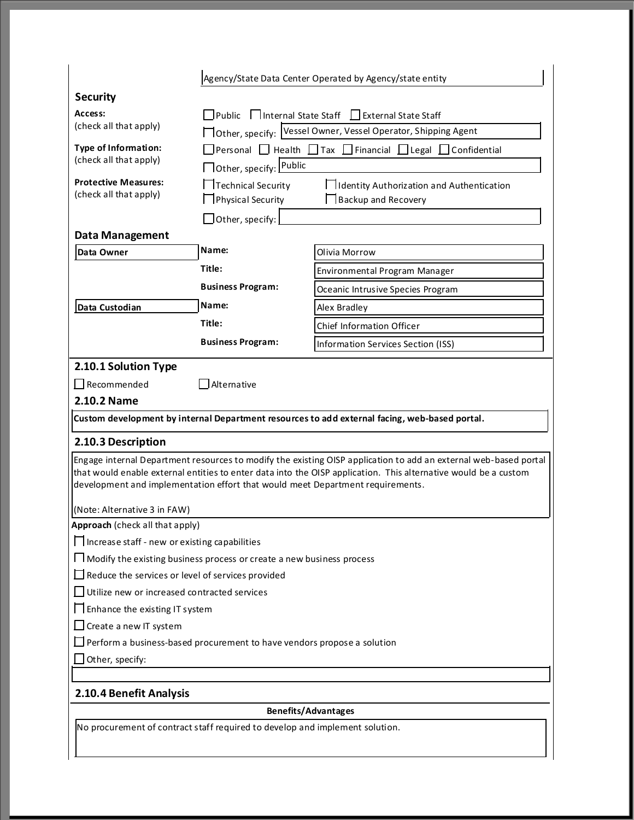|                                                                                | Agency/State Data Center Operated by Agency/state entity                                   |                                                                                                                                                                                                                                     |  |  |
|--------------------------------------------------------------------------------|--------------------------------------------------------------------------------------------|-------------------------------------------------------------------------------------------------------------------------------------------------------------------------------------------------------------------------------------|--|--|
| <b>Security</b>                                                                |                                                                                            |                                                                                                                                                                                                                                     |  |  |
| Access:                                                                        | □ Public □ Internal State Staff □ External State Staff                                     |                                                                                                                                                                                                                                     |  |  |
| (check all that apply)                                                         | □ Other, specify: Vessel Owner, Vessel Operator, Shipping Agent                            |                                                                                                                                                                                                                                     |  |  |
| <b>Type of Information:</b>                                                    | $\Box$ Personal $\Box$ Health $\Box$ Tax $\Box$ Financial $\Box$ Legal $\Box$ Confidential |                                                                                                                                                                                                                                     |  |  |
| (check all that apply)                                                         | □ Other, specify: Public                                                                   |                                                                                                                                                                                                                                     |  |  |
| <b>Protective Measures:</b><br>(check all that apply)                          | Technical Security<br>Physical Security                                                    | □ Identity Authorization and Authentication<br>$\Box$ Backup and Recovery                                                                                                                                                           |  |  |
|                                                                                | $\Box$ Other, specify:                                                                     |                                                                                                                                                                                                                                     |  |  |
| <b>Data Management</b>                                                         |                                                                                            |                                                                                                                                                                                                                                     |  |  |
| Data Owner                                                                     | Name:                                                                                      | Olivia Morrow                                                                                                                                                                                                                       |  |  |
|                                                                                | Title:                                                                                     | Environmental Program Manager                                                                                                                                                                                                       |  |  |
|                                                                                | <b>Business Program:</b>                                                                   | Oceanic Intrusive Species Program                                                                                                                                                                                                   |  |  |
| Data Custodian                                                                 | Name:                                                                                      | Alex Bradley                                                                                                                                                                                                                        |  |  |
|                                                                                | Title:                                                                                     | <b>Chief Information Officer</b>                                                                                                                                                                                                    |  |  |
|                                                                                | <b>Business Program:</b>                                                                   | Information Services Section (ISS)                                                                                                                                                                                                  |  |  |
|                                                                                |                                                                                            |                                                                                                                                                                                                                                     |  |  |
| 2.10.1 Solution Type                                                           |                                                                                            |                                                                                                                                                                                                                                     |  |  |
| $\Box$ Recommended                                                             | Alternative                                                                                |                                                                                                                                                                                                                                     |  |  |
| 2.10.2 Name                                                                    |                                                                                            |                                                                                                                                                                                                                                     |  |  |
|                                                                                |                                                                                            | Custom development by internal Department resources to add external facing, web-based portal.                                                                                                                                       |  |  |
| 2.10.3 Description                                                             |                                                                                            |                                                                                                                                                                                                                                     |  |  |
| development and implementation effort that would meet Department requirements. |                                                                                            | Engage internal Department resources to modify the existing OISP application to add an external web-based portal<br>that would enable external entities to enter data into the OISP application. This alternative would be a custom |  |  |
| (Note: Alternative 3 in FAW)                                                   |                                                                                            |                                                                                                                                                                                                                                     |  |  |
| <b>Approach</b> (check all that apply)                                         |                                                                                            |                                                                                                                                                                                                                                     |  |  |
| $\Box$ Increase staff - new or existing capabilities                           |                                                                                            |                                                                                                                                                                                                                                     |  |  |
| I I Modify the existing business process or create a new business process      |                                                                                            |                                                                                                                                                                                                                                     |  |  |
| $\Box$ Reduce the services or level of services provided                       |                                                                                            |                                                                                                                                                                                                                                     |  |  |
| $\Box$ Utilize new or increased contracted services                            |                                                                                            |                                                                                                                                                                                                                                     |  |  |
| $\Box$ Enhance the existing IT system                                          |                                                                                            |                                                                                                                                                                                                                                     |  |  |
| $\Box$ Create a new IT system                                                  |                                                                                            |                                                                                                                                                                                                                                     |  |  |
| $\Box$ Perform a business-based procurement to have vendors propose a solution |                                                                                            |                                                                                                                                                                                                                                     |  |  |
| Other, specify:                                                                |                                                                                            |                                                                                                                                                                                                                                     |  |  |
|                                                                                |                                                                                            |                                                                                                                                                                                                                                     |  |  |
| 2.10.4 Benefit Analysis                                                        |                                                                                            |                                                                                                                                                                                                                                     |  |  |
|                                                                                |                                                                                            | <b>Benefits/Advantages</b>                                                                                                                                                                                                          |  |  |
| No procurement of contract staff required to develop and implement solution.   |                                                                                            |                                                                                                                                                                                                                                     |  |  |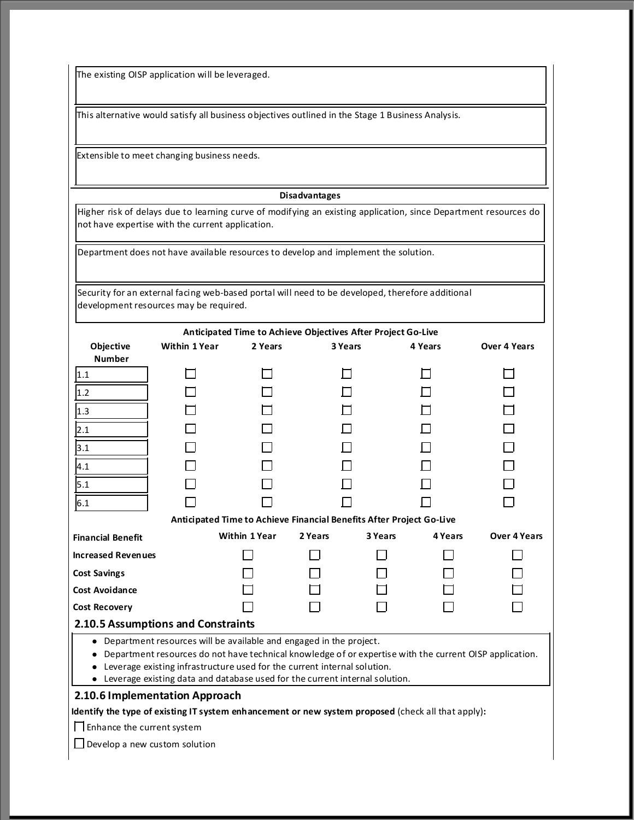The existing OISP application will be leveraged.

This alternative would satisfy all business objectives outlined in the Stage 1 Business Analysis.

Extensible to meet changing business needs.

#### **Disadvantages**

Higher risk of delays due to learning curve of modifying an existing application, since Department resources do not have expertise with the current application.

Department does not have available resources to develop and implement the solution.

| Security for an external facing web-based portal will need to be developed, therefore additional |
|--------------------------------------------------------------------------------------------------|
| development resources may be required.                                                           |

|                                                                                                         |                                                                                                    |                                                      | Anticipated Time to Achieve Objectives After Project Go-Live         |         |         |                     |
|---------------------------------------------------------------------------------------------------------|----------------------------------------------------------------------------------------------------|------------------------------------------------------|----------------------------------------------------------------------|---------|---------|---------------------|
| Objective                                                                                               | <b>Within 1 Year</b>                                                                               | 2 Years<br>3 Years<br>4 Years<br><b>Over 4 Years</b> |                                                                      |         |         |                     |
| <b>Number</b>                                                                                           |                                                                                                    |                                                      |                                                                      |         |         |                     |
| 1.1                                                                                                     |                                                                                                    |                                                      |                                                                      |         |         |                     |
| 1.2                                                                                                     |                                                                                                    |                                                      |                                                                      |         |         |                     |
| 1.3                                                                                                     |                                                                                                    |                                                      |                                                                      |         |         |                     |
| 2.1                                                                                                     |                                                                                                    |                                                      |                                                                      |         |         |                     |
| 3.1                                                                                                     |                                                                                                    |                                                      |                                                                      |         |         |                     |
| 4.1                                                                                                     |                                                                                                    |                                                      |                                                                      |         |         |                     |
| 5.1                                                                                                     |                                                                                                    |                                                      |                                                                      |         |         |                     |
| 6.1                                                                                                     |                                                                                                    |                                                      |                                                                      |         |         |                     |
|                                                                                                         |                                                                                                    |                                                      | Anticipated Time to Achieve Financial Benefits After Project Go-Live |         |         |                     |
| <b>Financial Benefit</b>                                                                                |                                                                                                    | <b>Within 1 Year</b>                                 | 2 Years                                                              | 3 Years | 4 Years | <b>Over 4 Years</b> |
| <b>Increased Revenues</b>                                                                               |                                                                                                    |                                                      |                                                                      |         |         |                     |
| <b>Cost Savings</b>                                                                                     |                                                                                                    |                                                      |                                                                      |         |         |                     |
| Cost Avoidance                                                                                          |                                                                                                    |                                                      |                                                                      |         |         |                     |
| <b>Cost Recovery</b>                                                                                    |                                                                                                    |                                                      |                                                                      |         |         |                     |
| 2.10.5 Assumptions and Constraints                                                                      |                                                                                                    |                                                      |                                                                      |         |         |                     |
| Department resources will be available and engaged in the project.                                      |                                                                                                    |                                                      |                                                                      |         |         |                     |
| Department resources do not have technical knowledge of or expertise with the current OISP application. |                                                                                                    |                                                      |                                                                      |         |         |                     |
| Leverage existing infrastructure used for the current internal solution.                                |                                                                                                    |                                                      |                                                                      |         |         |                     |
| • Leverage existing data and database used for the current internal solution.                           |                                                                                                    |                                                      |                                                                      |         |         |                     |
|                                                                                                         | 2.10.6 Implementation Approach                                                                     |                                                      |                                                                      |         |         |                     |
|                                                                                                         | Identify the type of existing IT system enhancement or new system proposed (check all that apply): |                                                      |                                                                      |         |         |                     |
| $\Box$ Enhance the current system                                                                       |                                                                                                    |                                                      |                                                                      |         |         |                     |
|                                                                                                         | Develop a new custom solution                                                                      |                                                      |                                                                      |         |         |                     |
|                                                                                                         |                                                                                                    |                                                      |                                                                      |         |         |                     |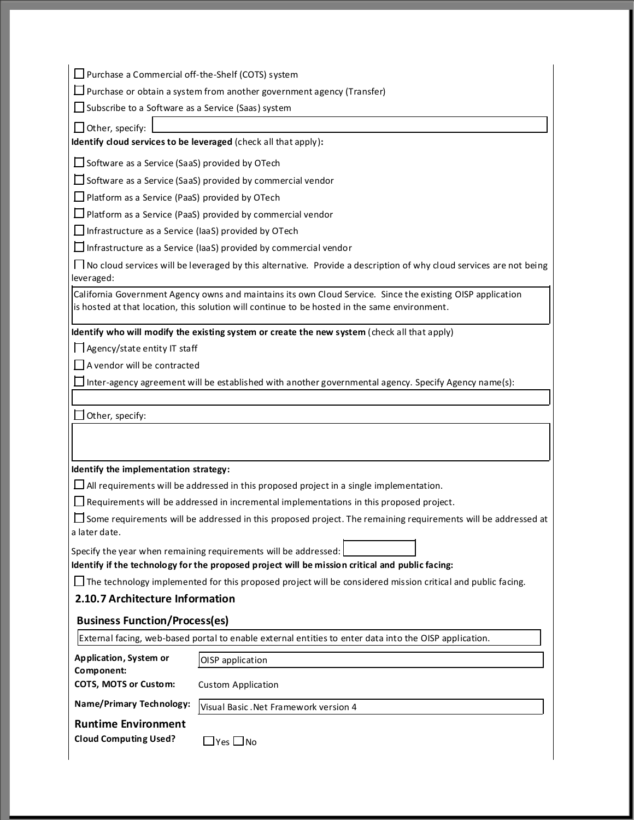$\square$  Purchase a Commercial off-the-Shelf (COTS) system

 $\square$  Purchase or obtain a system from another government agency (Transfer)

 $\Box$  Subscribe to a Software as a Service (Saas) system

 $\Box$  Other, specify:

**Identify cloud services to be leveraged** (check all that apply)**:**

Software as a Service (SaaS) provided by OTech

 $\square$  Software as a Service (SaaS) provided by commercial vendor

□ Platform as a Service (PaaS) provided by OTech

Platform as a Service (PaaS) provided by commercial vendor

 $\Box$  Infrastructure as a Service (IaaS) provided by OTech

 $\Box$  Infrastructure as a Service (IaaS) provided by commercial vendor

 $\Box$  No cloud services will be leveraged by this alternative. Provide a description of why cloud services are not being leveraged:

California Government Agency owns and maintains its own Cloud Service. Since the existing OISP application is hosted at that location, this solution will continue to be hosted in the same environment.

**Identify who will modify the existing system or create the new system** (check all that apply)

Agency/state entity IT staff

A vendor will be contracted

 $\Box$  Inter-agency agreement will be established with another governmental agency. Specify Agency name(s):

| $\square$ Other, specify: |  |
|---------------------------|--|
|---------------------------|--|

**Identify the implementation strategy:**

 $\Box$  All requirements will be addressed in this proposed project in a single implementation.

 $\Box$  Requirements will be addressed in incremental implementations in this proposed project.

Some requirements will be addressed in this proposed project. The remaining requirements will be addressed at a later date.

Specify the year when remaining requirements will be addressed:

**Identify if the technology for the proposed project will be mission critical and public facing:**

 $\Box$  The technology implemented for this proposed project will be considered mission critical and public facing.

#### **2.10.7 Architecture Information**

#### **Business Function/Process(es)**

|                                                           | [External facing, web-based portal to enable external entities to enter data into the OISP application. |  |
|-----------------------------------------------------------|---------------------------------------------------------------------------------------------------------|--|
| Application, System or<br>Component:                      | OISP application                                                                                        |  |
| <b>COTS, MOTS or Custom:</b><br><b>Custom Application</b> |                                                                                                         |  |
| <b>Name/Primary Technology:</b>                           | Visual Basic . Net Framework version 4                                                                  |  |
| <b>Runtime Environment</b>                                |                                                                                                         |  |
| <b>Cloud Computing Used?</b>                              | lYes L. INo                                                                                             |  |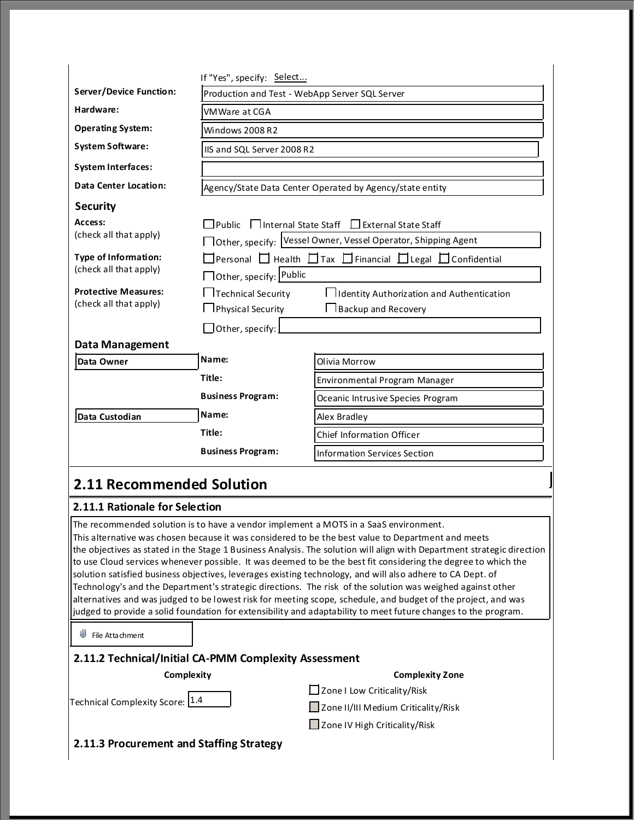|                                                                        | If "Yes", specify: Select                               |                                                                                                                                                                                                                                         |  |
|------------------------------------------------------------------------|---------------------------------------------------------|-----------------------------------------------------------------------------------------------------------------------------------------------------------------------------------------------------------------------------------------|--|
| <b>Server/Device Function:</b>                                         | Production and Test - WebApp Server SQL Server          |                                                                                                                                                                                                                                         |  |
| Hardware:                                                              | VMWare at CGA                                           |                                                                                                                                                                                                                                         |  |
| <b>Operating System:</b>                                               | Windows 2008 R2                                         |                                                                                                                                                                                                                                         |  |
| <b>System Software:</b>                                                | IIS and SQL Server 2008 R2                              |                                                                                                                                                                                                                                         |  |
| <b>System Interfaces:</b>                                              |                                                         |                                                                                                                                                                                                                                         |  |
| <b>Data Center Location:</b>                                           |                                                         | Agency/State Data Center Operated by Agency/state entity                                                                                                                                                                                |  |
| <b>Security</b>                                                        |                                                         |                                                                                                                                                                                                                                         |  |
| Access:                                                                | □Public    Internal State Staff   LExternal State Staff |                                                                                                                                                                                                                                         |  |
| (check all that apply)                                                 |                                                         | □ Other, specify: Vessel Owner, Vessel Operator, Shipping Agent                                                                                                                                                                         |  |
| <b>Type of Information:</b>                                            |                                                         | Personal Health HTax HFinancial HLegal HConfidential                                                                                                                                                                                    |  |
| (check all that apply)                                                 | □ Other, specify: Public                                |                                                                                                                                                                                                                                         |  |
| <b>Protective Measures:</b>                                            | Technical Security                                      | I II dentity Authorization and Authentication                                                                                                                                                                                           |  |
| (check all that apply)                                                 | Physical Security                                       | <b>I</b> Backup and Recovery                                                                                                                                                                                                            |  |
|                                                                        | Other, specify:                                         |                                                                                                                                                                                                                                         |  |
| Data Management                                                        |                                                         |                                                                                                                                                                                                                                         |  |
| Data Owner                                                             | Name:                                                   | Olivia Morrow                                                                                                                                                                                                                           |  |
|                                                                        | Title:                                                  | Environmental Program Manager                                                                                                                                                                                                           |  |
|                                                                        | <b>Business Program:</b>                                | Oceanic Intrusive Species Program                                                                                                                                                                                                       |  |
| Data Custodian                                                         | Name:<br>Alex Bradley                                   |                                                                                                                                                                                                                                         |  |
|                                                                        | Title:                                                  | <b>Chief Information Officer</b>                                                                                                                                                                                                        |  |
|                                                                        | <b>Business Program:</b>                                | <b>Information Services Section</b>                                                                                                                                                                                                     |  |
| 2.11 Recommended Solution                                              |                                                         |                                                                                                                                                                                                                                         |  |
| 2.11.1 Rationale for Selection                                         |                                                         |                                                                                                                                                                                                                                         |  |
|                                                                        |                                                         | The recommended solution is to have a vendor implement a MOTS in a SaaS environment.                                                                                                                                                    |  |
|                                                                        |                                                         | This alternative was chosen because it was considered to be the best value to Department and meets                                                                                                                                      |  |
|                                                                        |                                                         | the objectives as stated in the Stage 1 Business Analysis. The solution will align with Department strategic direction<br>to use Cloud services whenever possible. It was deemed to be the best fit considering the degree to which the |  |
|                                                                        |                                                         | solution satisfied business objectives, leverages existing technology, and will also adhere to CA Dept. of                                                                                                                              |  |
|                                                                        |                                                         | Technology's and the Department's strategic directions. The risk of the solution was weighed against other                                                                                                                              |  |
|                                                                        |                                                         | alternatives and was judged to be lowest risk for meeting scope, schedule, and budget of the project, and was                                                                                                                           |  |
|                                                                        |                                                         | judged to provide a solid foundation for extensibility and adaptability to meet future changes to the program.                                                                                                                          |  |
| ⋓<br>File Attachment                                                   |                                                         |                                                                                                                                                                                                                                         |  |
| 2.11.2 Technical/Initial CA-PMM Complexity Assessment                  |                                                         |                                                                                                                                                                                                                                         |  |
| Complexity                                                             |                                                         | <b>Complexity Zone</b>                                                                                                                                                                                                                  |  |
|                                                                        |                                                         | $\Box$ Zone I Low Criticality/Risk                                                                                                                                                                                                      |  |
| Technical Complexity Score: 1.4<br>Zone II/III Medium Criticality/Risk |                                                         |                                                                                                                                                                                                                                         |  |
| □ Zone IV High Criticality/Risk                                        |                                                         |                                                                                                                                                                                                                                         |  |

**2.11.3 Procurement and Staffing Strategy**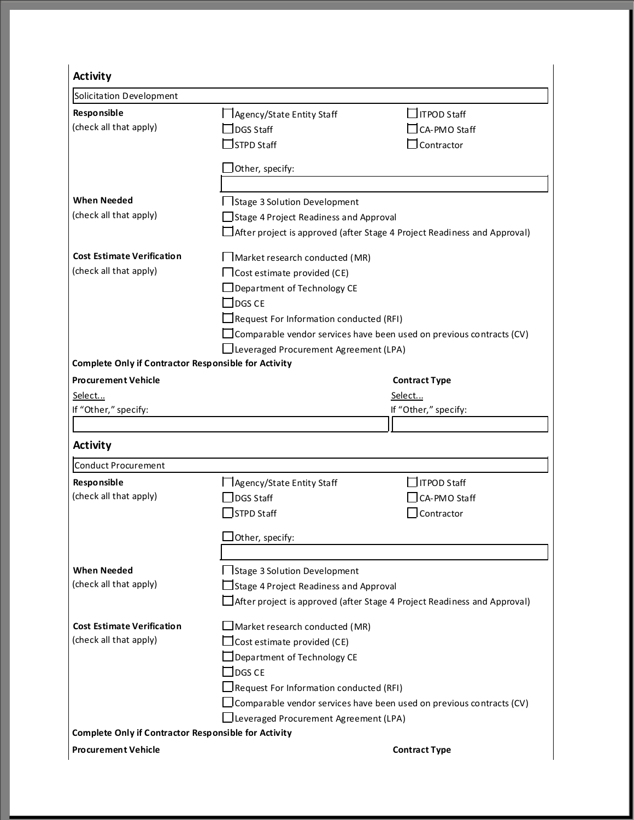| <b>Activity</b>                                             |                                                                             |                                                                                 |  |
|-------------------------------------------------------------|-----------------------------------------------------------------------------|---------------------------------------------------------------------------------|--|
| Solicitation Development                                    |                                                                             |                                                                                 |  |
| Responsible                                                 | Agency/State Entity Staff                                                   | ∃ITPOD Staff                                                                    |  |
| (check all that apply)                                      | DGS Staff                                                                   | CA-PMO Staff                                                                    |  |
|                                                             | $\sqsupset$ STPD Staff                                                      | Contractor                                                                      |  |
|                                                             | Other, specify:                                                             |                                                                                 |  |
|                                                             |                                                                             |                                                                                 |  |
| <b>When Needed</b>                                          | Stage 3 Solution Development                                                |                                                                                 |  |
| (check all that apply)                                      | Stage 4 Project Readiness and Approval                                      |                                                                                 |  |
|                                                             |                                                                             | $\Box$ After project is approved (after Stage 4 Project Readiness and Approval) |  |
| <b>Cost Estimate Verification</b>                           |                                                                             |                                                                                 |  |
| (check all that apply)                                      | □ Cost estimate provided (CE)                                               |                                                                                 |  |
|                                                             | $\Box$ Department of Technology CE                                          |                                                                                 |  |
|                                                             | $\Box$ DGS CE                                                               |                                                                                 |  |
|                                                             | $\Box$ Request For Information conducted (RFI)                              |                                                                                 |  |
|                                                             | $\Box$ Comparable vendor services have been used on previous contracts (CV) |                                                                                 |  |
|                                                             | Leveraged Procurement Agreement (LPA)                                       |                                                                                 |  |
| <b>Complete Only if Contractor Responsible for Activity</b> |                                                                             |                                                                                 |  |
| <b>Procurement Vehicle</b>                                  |                                                                             | <b>Contract Type</b>                                                            |  |
| Select                                                      |                                                                             | Select                                                                          |  |
| If "Other," specify:                                        |                                                                             | If "Other," specify:                                                            |  |
|                                                             |                                                                             |                                                                                 |  |
| <b>Activity</b>                                             |                                                                             |                                                                                 |  |
| Conduct Procurement                                         |                                                                             |                                                                                 |  |
| Responsible                                                 | □ Agency/State Entity Staff                                                 | ITPOD Staff                                                                     |  |
| (check all that apply)                                      | <b>DGS Staff</b>                                                            | CA-PMO Staff                                                                    |  |
|                                                             | <b>STPD Staff</b>                                                           | Contractor                                                                      |  |
|                                                             | Other, specify:                                                             |                                                                                 |  |
|                                                             |                                                                             |                                                                                 |  |
| <b>When Needed</b>                                          | □ Stage 3 Solution Development                                              |                                                                                 |  |
| (check all that apply)                                      | $\Box$ Stage 4 Project Readiness and Approval                               |                                                                                 |  |
|                                                             |                                                                             | $\Box$ After project is approved (after Stage 4 Project Readiness and Approval) |  |
| <b>Cost Estimate Verification</b>                           | $\Box$ Market research conducted (MR)                                       |                                                                                 |  |
| (check all that apply)                                      | $\Box$ Cost estimate provided (CE)                                          |                                                                                 |  |
|                                                             | Department of Technology CE                                                 |                                                                                 |  |
|                                                             | $\sqsupset$ DGS CE                                                          |                                                                                 |  |
|                                                             | Request For Information conducted (RFI)                                     |                                                                                 |  |
|                                                             | $\Box$ Comparable vendor services have been used on previous contracts (CV) |                                                                                 |  |
|                                                             | I Leveraged Procurement Agreement (LPA)                                     |                                                                                 |  |
| <b>Complete Only if Contractor Responsible for Activity</b> |                                                                             |                                                                                 |  |
| <b>Procurement Vehicle</b>                                  |                                                                             | <b>Contract Type</b>                                                            |  |
|                                                             |                                                                             |                                                                                 |  |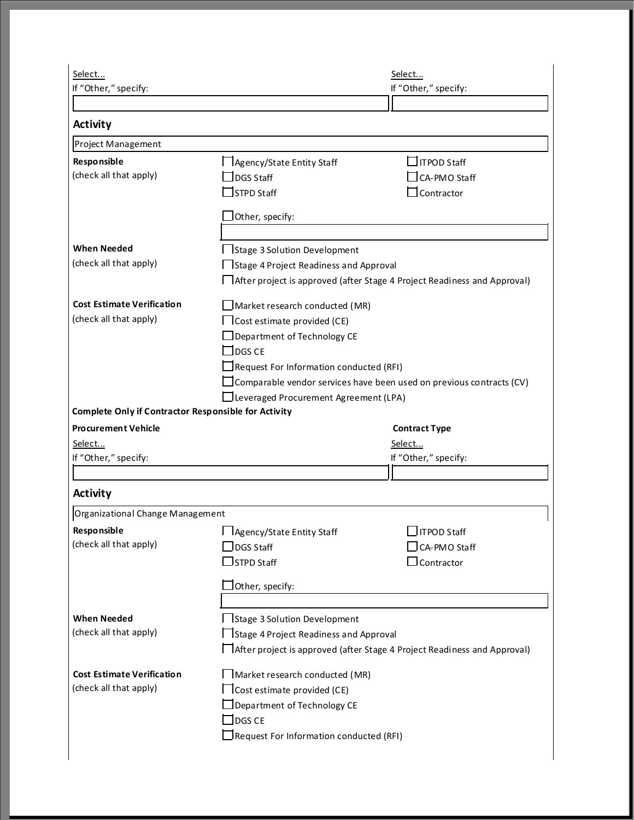| Select                                                      |                                                | Select                                                                      |  |  |
|-------------------------------------------------------------|------------------------------------------------|-----------------------------------------------------------------------------|--|--|
| If "Other," specify:                                        |                                                | If "Other," specify:                                                        |  |  |
|                                                             |                                                |                                                                             |  |  |
| <b>Activity</b>                                             |                                                |                                                                             |  |  |
| Project Management                                          |                                                |                                                                             |  |  |
| Responsible                                                 | Agency/State Entity Staff                      | ITPOD Staff                                                                 |  |  |
| (check all that apply)                                      | $\sqrt{\frac{1}{1}}$ DGS Staff                 | CA-PMO Staff                                                                |  |  |
|                                                             | STPD Staff                                     | Contractor                                                                  |  |  |
|                                                             | Other, specify:                                |                                                                             |  |  |
|                                                             |                                                |                                                                             |  |  |
| <b>When Needed</b>                                          | Istage 3 Solution Development                  |                                                                             |  |  |
| (check all that apply)                                      | Stage 4 Project Readiness and Approval         |                                                                             |  |  |
|                                                             |                                                | After project is approved (after Stage 4 Project Readiness and Approval)    |  |  |
|                                                             |                                                |                                                                             |  |  |
| <b>Cost Estimate Verification</b>                           | $\Box$ Market research conducted (MR)          |                                                                             |  |  |
| (check all that apply)                                      | $\Box$ Cost estimate provided (CE)             |                                                                             |  |  |
|                                                             | $\Box$ Department of Technology CE             |                                                                             |  |  |
|                                                             | $\Box$ DGS CE                                  |                                                                             |  |  |
|                                                             | Request For Information conducted (RFI)        |                                                                             |  |  |
|                                                             |                                                | $\Box$ Comparable vendor services have been used on previous contracts (CV) |  |  |
| <b>Complete Only if Contractor Responsible for Activity</b> | Leveraged Procurement Agreement (LPA)          |                                                                             |  |  |
| <b>Procurement Vehicle</b>                                  |                                                | <b>Contract Type</b>                                                        |  |  |
| Select                                                      |                                                | Select                                                                      |  |  |
| If "Other," specify:                                        |                                                | If "Other," specify:                                                        |  |  |
|                                                             |                                                |                                                                             |  |  |
| <b>Activity</b>                                             |                                                |                                                                             |  |  |
| Organizational Change Management                            |                                                |                                                                             |  |  |
| Responsible                                                 | □ Agency/State Entity Staff                    | $\Box$ ITPOD Staff                                                          |  |  |
| (check all that apply)                                      | $\sqrt{\phantom{a}}$ DGS Staff                 | $\Box$ CA-PMO Staff                                                         |  |  |
|                                                             | $\Box$ STPD Staff                              | $\Box$ Contractor                                                           |  |  |
|                                                             |                                                |                                                                             |  |  |
|                                                             | $\Box$ Other, specify:                         |                                                                             |  |  |
|                                                             |                                                |                                                                             |  |  |
| <b>When Needed</b>                                          | □ Stage 3 Solution Development                 |                                                                             |  |  |
| (check all that apply)                                      | □ Stage 4 Project Readiness and Approval       |                                                                             |  |  |
|                                                             |                                                | □ After project is approved (after Stage 4 Project Readiness and Approval)  |  |  |
| <b>Cost Estimate Verification</b>                           | Market research conducted (MR)                 |                                                                             |  |  |
| (check all that apply)                                      | $\Box$ Cost estimate provided (CE)             |                                                                             |  |  |
|                                                             | $\Box$ Department of Technology CE             |                                                                             |  |  |
|                                                             | $\sqsupset$ DGS CE                             |                                                                             |  |  |
|                                                             | $\Box$ Request For Information conducted (RFI) |                                                                             |  |  |
|                                                             |                                                |                                                                             |  |  |
|                                                             |                                                |                                                                             |  |  |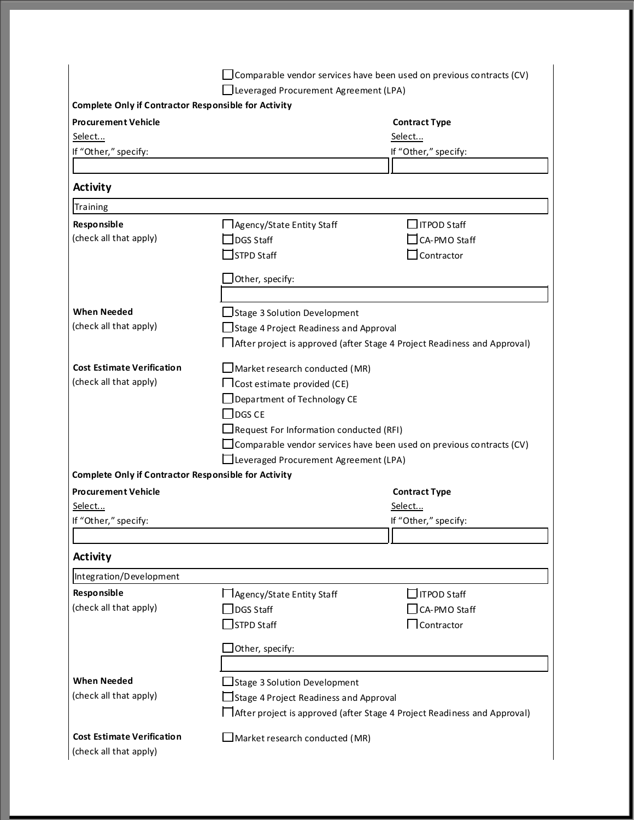|                                                             |                                                                          | $\Box$ Comparable vendor services have been used on previous contracts (CV) |  |
|-------------------------------------------------------------|--------------------------------------------------------------------------|-----------------------------------------------------------------------------|--|
|                                                             | Lleveraged Procurement Agreement (LPA)                                   |                                                                             |  |
| <b>Complete Only if Contractor Responsible for Activity</b> |                                                                          |                                                                             |  |
| <b>Procurement Vehicle</b>                                  |                                                                          | <b>Contract Type</b>                                                        |  |
| Select                                                      |                                                                          | Select                                                                      |  |
| If "Other," specify:                                        |                                                                          | If "Other," specify:                                                        |  |
|                                                             |                                                                          |                                                                             |  |
| <b>Activity</b>                                             |                                                                          |                                                                             |  |
| Training                                                    |                                                                          |                                                                             |  |
| Responsible                                                 | Agency/State Entity Staff                                                | $\Box$ ITPOD Staff                                                          |  |
| (check all that apply)                                      | DGS Staff                                                                | CA-PMO Staff                                                                |  |
|                                                             | $\Box$ STPD Staff                                                        | Contractor                                                                  |  |
|                                                             | $\lrcorner$ Other, specify:                                              |                                                                             |  |
|                                                             |                                                                          |                                                                             |  |
| <b>When Needed</b>                                          | $\Box$ Stage 3 Solution Development                                      |                                                                             |  |
| (check all that apply)                                      | Stage 4 Project Readiness and Approval                                   |                                                                             |  |
|                                                             | After project is approved (after Stage 4 Project Readiness and Approval) |                                                                             |  |
|                                                             |                                                                          |                                                                             |  |
| <b>Cost Estimate Verification</b>                           | $\Box$ Market research conducted (MR)                                    |                                                                             |  |
| (check all that apply)                                      | $\Box$ Cost estimate provided (CE)                                       |                                                                             |  |
|                                                             | Department of Technology CE                                              |                                                                             |  |
|                                                             | $\Box$ DGS CE                                                            |                                                                             |  |
|                                                             | $\Box$ Request For Information conducted (RFI)                           |                                                                             |  |
|                                                             |                                                                          | $\Box$ Comparable vendor services have been used on previous contracts (CV) |  |
|                                                             | $\Box$ Leveraged Procurement Agreement (LPA)                             |                                                                             |  |
| <b>Complete Only if Contractor Responsible for Activity</b> |                                                                          |                                                                             |  |
| <b>Procurement Vehicle</b>                                  |                                                                          | <b>Contract Type</b>                                                        |  |
| Select                                                      |                                                                          | Select                                                                      |  |
| If "Other," specify:                                        |                                                                          | If "Other," specify:                                                        |  |
|                                                             |                                                                          |                                                                             |  |
| <b>Activity</b>                                             |                                                                          |                                                                             |  |
| Integration/Development                                     |                                                                          |                                                                             |  |
| Responsible                                                 | □ Agency/State Entity Staff                                              | $\Box$ ITPOD Staff                                                          |  |
| (check all that apply)                                      | JDGS Staff                                                               | CA-PMO Staff                                                                |  |
|                                                             | STPD Staff                                                               | $\Box$ Contractor                                                           |  |
|                                                             | Other, specify:                                                          |                                                                             |  |
|                                                             |                                                                          |                                                                             |  |
| <b>When Needed</b>                                          | □ Stage 3 Solution Development                                           |                                                                             |  |
| (check all that apply)                                      | $\exists$ Stage 4 Project Readiness and Approval                         |                                                                             |  |
|                                                             |                                                                          | □ After project is approved (after Stage 4 Project Readiness and Approval)  |  |
|                                                             |                                                                          |                                                                             |  |
| <b>Cost Estimate Verification</b>                           | $\Box$ Market research conducted (MR)                                    |                                                                             |  |
| (check all that apply)                                      |                                                                          |                                                                             |  |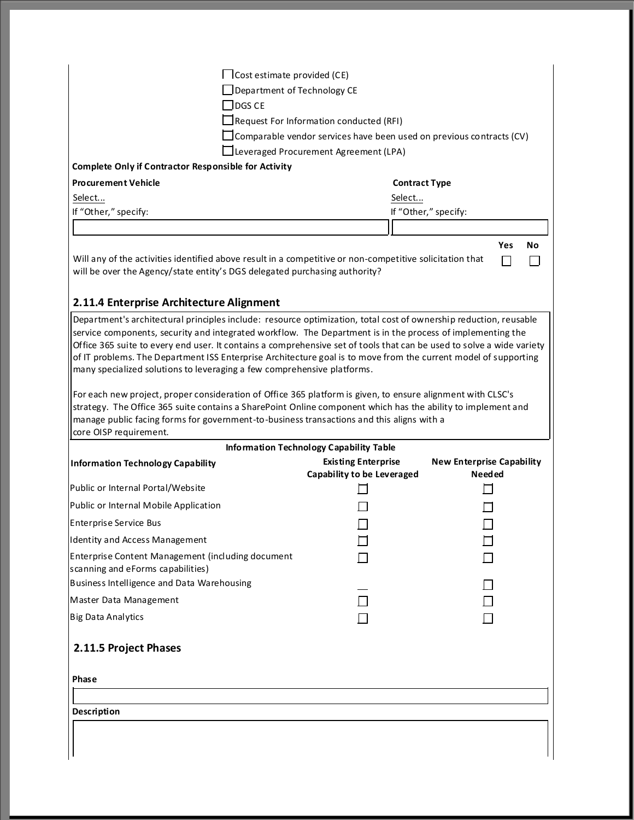|                                                                                                                                                                                                                                          | $\Box$ Cost estimate provided (CE)                                                                                            |                                                   |  |  |  |
|------------------------------------------------------------------------------------------------------------------------------------------------------------------------------------------------------------------------------------------|-------------------------------------------------------------------------------------------------------------------------------|---------------------------------------------------|--|--|--|
| $\Box$ Department of Technology CE                                                                                                                                                                                                       |                                                                                                                               |                                                   |  |  |  |
| $\Box$ DGS CE                                                                                                                                                                                                                            |                                                                                                                               |                                                   |  |  |  |
|                                                                                                                                                                                                                                          |                                                                                                                               |                                                   |  |  |  |
|                                                                                                                                                                                                                                          | $\Box$ Request For Information conducted (RFI)<br>$\Box$ Comparable vendor services have been used on previous contracts (CV) |                                                   |  |  |  |
|                                                                                                                                                                                                                                          | Leveraged Procurement Agreement (LPA)                                                                                         |                                                   |  |  |  |
| <b>Complete Only if Contractor Responsible for Activity</b>                                                                                                                                                                              |                                                                                                                               |                                                   |  |  |  |
| <b>Procurement Vehicle</b>                                                                                                                                                                                                               | <b>Contract Type</b>                                                                                                          |                                                   |  |  |  |
| Select                                                                                                                                                                                                                                   | Select                                                                                                                        |                                                   |  |  |  |
| If "Other," specify:                                                                                                                                                                                                                     |                                                                                                                               | If "Other," specify:                              |  |  |  |
|                                                                                                                                                                                                                                          |                                                                                                                               |                                                   |  |  |  |
|                                                                                                                                                                                                                                          |                                                                                                                               | Yes<br>No                                         |  |  |  |
| Will any of the activities identified above result in a competitive or non-competitive solicitation that<br>will be over the Agency/state entity's DGS delegated purchasing authority?                                                   |                                                                                                                               |                                                   |  |  |  |
| 2.11.4 Enterprise Architecture Alignment                                                                                                                                                                                                 |                                                                                                                               |                                                   |  |  |  |
| Department's architectural principles include: resource optimization, total cost of ownership reduction, reusable                                                                                                                        |                                                                                                                               |                                                   |  |  |  |
| service components, security and integrated workflow. The Department is in the process of implementing the                                                                                                                               |                                                                                                                               |                                                   |  |  |  |
| Office 365 suite to every end user. It contains a comprehensive set of tools that can be used to solve a wide variety<br>of IT problems. The Department ISS Enterprise Architecture goal is to move from the current model of supporting |                                                                                                                               |                                                   |  |  |  |
| many specialized solutions to leveraging a few comprehensive platforms.                                                                                                                                                                  |                                                                                                                               |                                                   |  |  |  |
| strategy. The Office 365 suite contains a SharePoint Online component which has the ability to implement and<br>manage public facing forms for government-to-business transactions and this aligns with a<br>core OISP requirement.      |                                                                                                                               |                                                   |  |  |  |
|                                                                                                                                                                                                                                          | <b>Information Technology Capability Table</b>                                                                                |                                                   |  |  |  |
| <b>Information Technology Capability</b>                                                                                                                                                                                                 | <b>Existing Enterprise</b><br>Capability to be Leveraged                                                                      | <b>New Enterprise Capability</b><br><b>Needed</b> |  |  |  |
| Public or Internal Portal/Website                                                                                                                                                                                                        |                                                                                                                               |                                                   |  |  |  |
| Public or Internal Mobile Application                                                                                                                                                                                                    |                                                                                                                               |                                                   |  |  |  |
|                                                                                                                                                                                                                                          |                                                                                                                               |                                                   |  |  |  |
|                                                                                                                                                                                                                                          |                                                                                                                               |                                                   |  |  |  |
| <b>Identity and Access Management</b>                                                                                                                                                                                                    |                                                                                                                               |                                                   |  |  |  |
|                                                                                                                                                                                                                                          |                                                                                                                               |                                                   |  |  |  |
|                                                                                                                                                                                                                                          |                                                                                                                               |                                                   |  |  |  |
| <b>Enterprise Service Bus</b><br>Enterprise Content Management (including document<br>scanning and eForms capabilities)<br>Business Intelligence and Data Warehousing<br>Master Data Management                                          |                                                                                                                               |                                                   |  |  |  |
| <b>Big Data Analytics</b>                                                                                                                                                                                                                |                                                                                                                               |                                                   |  |  |  |
| 2.11.5 Project Phases                                                                                                                                                                                                                    |                                                                                                                               |                                                   |  |  |  |
| Phase                                                                                                                                                                                                                                    |                                                                                                                               |                                                   |  |  |  |
|                                                                                                                                                                                                                                          |                                                                                                                               |                                                   |  |  |  |
| Description                                                                                                                                                                                                                              |                                                                                                                               |                                                   |  |  |  |
|                                                                                                                                                                                                                                          |                                                                                                                               |                                                   |  |  |  |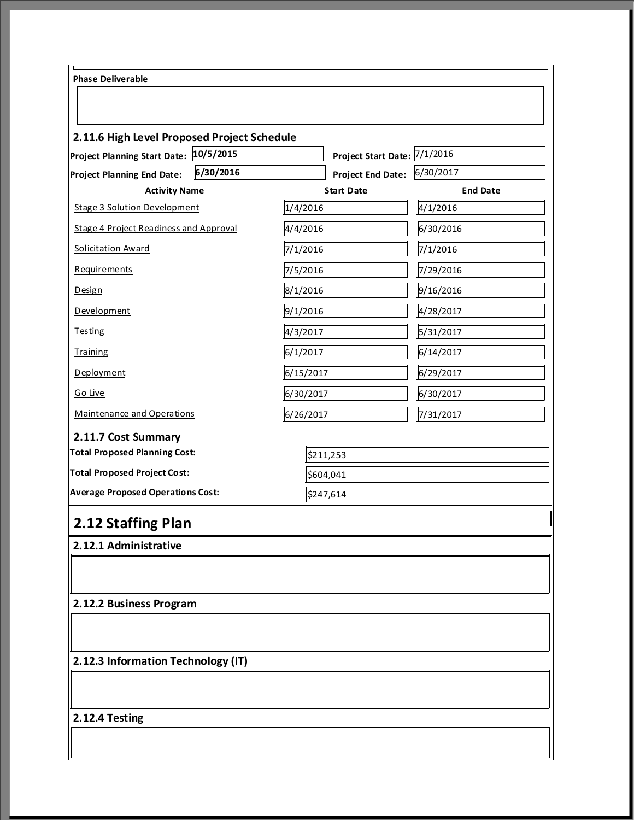| Project Start Date: 7/1/2016<br>6/30/2016<br>6/30/2017<br><b>Project End Date:</b><br>Project Planning End Date:<br><b>Activity Name</b><br><b>Start Date</b><br>1/4/2016<br>4/1/2016<br>6/30/2016<br>4/4/2016<br>7/1/2016<br>7/1/2016<br>7/5/2016<br>7/29/2016<br>8/1/2016<br>9/16/2016<br>9/1/2016<br>4/28/2017<br>4/3/2017<br>5/31/2017<br>6/1/2017<br>6/14/2017<br>6/15/2017<br>6/29/2017<br>6/30/2017<br>6/30/2017<br>6/26/2017<br>7/31/2017<br>\$211,253<br>\$604,041<br>\$247,614 | 2.11.6 High Level Proposed Project Schedule<br>Project Planning Start Date: 10/5/2015 |                 |
|------------------------------------------------------------------------------------------------------------------------------------------------------------------------------------------------------------------------------------------------------------------------------------------------------------------------------------------------------------------------------------------------------------------------------------------------------------------------------------------|---------------------------------------------------------------------------------------|-----------------|
|                                                                                                                                                                                                                                                                                                                                                                                                                                                                                          |                                                                                       |                 |
|                                                                                                                                                                                                                                                                                                                                                                                                                                                                                          |                                                                                       | <b>End Date</b> |
|                                                                                                                                                                                                                                                                                                                                                                                                                                                                                          | <b>Stage 3 Solution Development</b>                                                   |                 |
|                                                                                                                                                                                                                                                                                                                                                                                                                                                                                          | Stage 4 Project Readiness and Approval                                                |                 |
|                                                                                                                                                                                                                                                                                                                                                                                                                                                                                          | <b>Solicitation Award</b>                                                             |                 |
|                                                                                                                                                                                                                                                                                                                                                                                                                                                                                          | <b>Requirements</b>                                                                   |                 |
|                                                                                                                                                                                                                                                                                                                                                                                                                                                                                          | Design                                                                                |                 |
|                                                                                                                                                                                                                                                                                                                                                                                                                                                                                          | Development                                                                           |                 |
|                                                                                                                                                                                                                                                                                                                                                                                                                                                                                          | <b>Testing</b>                                                                        |                 |
|                                                                                                                                                                                                                                                                                                                                                                                                                                                                                          | <b>Training</b>                                                                       |                 |
|                                                                                                                                                                                                                                                                                                                                                                                                                                                                                          | Deployment                                                                            |                 |
|                                                                                                                                                                                                                                                                                                                                                                                                                                                                                          | Go Live                                                                               |                 |
|                                                                                                                                                                                                                                                                                                                                                                                                                                                                                          | Maintenance and Operations                                                            |                 |
|                                                                                                                                                                                                                                                                                                                                                                                                                                                                                          | 2.11.7 Cost Summary                                                                   |                 |
|                                                                                                                                                                                                                                                                                                                                                                                                                                                                                          | <b>Total Proposed Planning Cost:</b>                                                  |                 |
|                                                                                                                                                                                                                                                                                                                                                                                                                                                                                          | <b>Total Proposed Project Cost:</b>                                                   |                 |
|                                                                                                                                                                                                                                                                                                                                                                                                                                                                                          | <b>Average Proposed Operations Cost:</b>                                              |                 |
|                                                                                                                                                                                                                                                                                                                                                                                                                                                                                          | 2.12 Staffing Plan                                                                    |                 |
|                                                                                                                                                                                                                                                                                                                                                                                                                                                                                          | 2.12.1 Administrative                                                                 |                 |
|                                                                                                                                                                                                                                                                                                                                                                                                                                                                                          |                                                                                       |                 |
|                                                                                                                                                                                                                                                                                                                                                                                                                                                                                          | 2.12.2 Business Program                                                               |                 |
|                                                                                                                                                                                                                                                                                                                                                                                                                                                                                          |                                                                                       |                 |
|                                                                                                                                                                                                                                                                                                                                                                                                                                                                                          | 2.12.3 Information Technology (IT)                                                    |                 |
|                                                                                                                                                                                                                                                                                                                                                                                                                                                                                          |                                                                                       |                 |
|                                                                                                                                                                                                                                                                                                                                                                                                                                                                                          |                                                                                       |                 |
|                                                                                                                                                                                                                                                                                                                                                                                                                                                                                          | 2.12.4 Testing                                                                        |                 |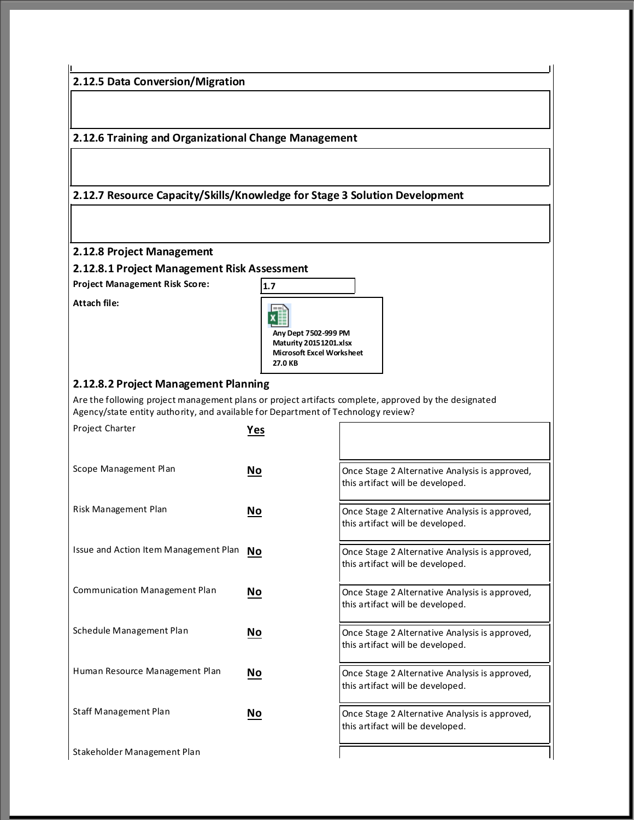**2.12.5 Data Conversion/Migration**

**2.12.6 Training and Organizational Change Management**

**2.12.7 Resource Capacity/Skills/Knowledge for Stage 3 Solution Development**

**2.12.8 Project Management**

**2.12.8.1 Project Management Risk Assessment**

**Attach file:** 



#### **2.12.8.2 Project Management Planning**

Are the following project management plans or project artifacts complete, approved by the designated Agency/state entity authority, and available for Department of Technology review?

| <b>Project Charter</b>                | Yes                       |                                                                                    |
|---------------------------------------|---------------------------|------------------------------------------------------------------------------------|
| Scope Management Plan                 | $\underline{\mathsf{No}}$ | Once Stage 2 Alternative Analysis is approved,<br>this artifact will be developed. |
| Risk Management Plan                  | <u>No</u>                 | Once Stage 2 Alternative Analysis is approved,<br>this artifact will be developed. |
| Issue and Action Item Management Plan | No                        | Once Stage 2 Alternative Analysis is approved,<br>this artifact will be developed. |
| Communication Management Plan         | No                        | Once Stage 2 Alternative Analysis is approved,<br>this artifact will be developed. |
| Schedule Management Plan              | No                        | Once Stage 2 Alternative Analysis is approved,<br>this artifact will be developed. |
| Human Resource Management Plan        | No                        | Once Stage 2 Alternative Analysis is approved,<br>this artifact will be developed. |
| Staff Management Plan                 | No                        | Once Stage 2 Alternative Analysis is approved,<br>this artifact will be developed. |
| Stakeholder Management Plan           |                           |                                                                                    |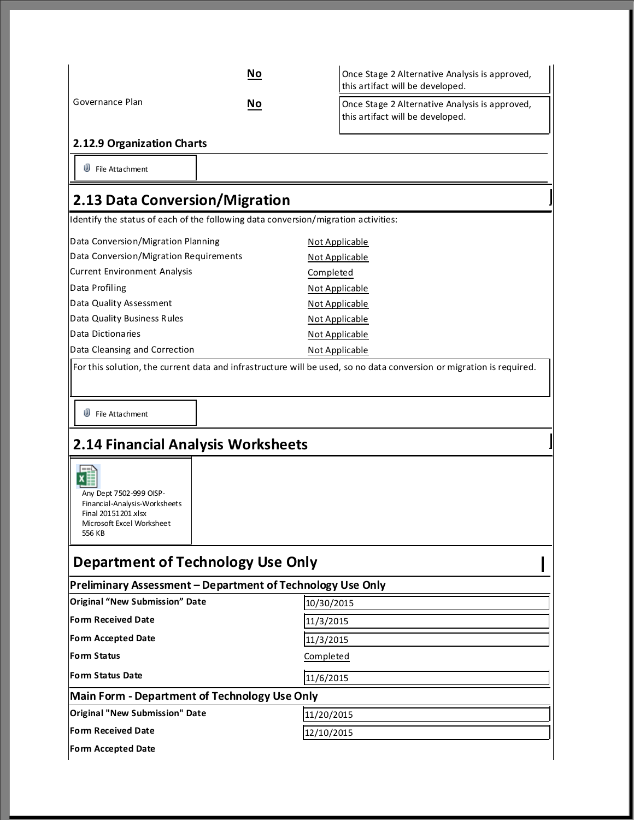|                                                                                                                                                                                             | No | Once Stage 2 Alternative Analysis is approved,                                     |  |  |
|---------------------------------------------------------------------------------------------------------------------------------------------------------------------------------------------|----|------------------------------------------------------------------------------------|--|--|
|                                                                                                                                                                                             |    | this artifact will be developed.                                                   |  |  |
| Governance Plan                                                                                                                                                                             | No | Once Stage 2 Alternative Analysis is approved,<br>this artifact will be developed. |  |  |
| 2.12.9 Organization Charts                                                                                                                                                                  |    |                                                                                    |  |  |
| w<br>File Attachment                                                                                                                                                                        |    |                                                                                    |  |  |
| 2.13 Data Conversion/Migration                                                                                                                                                              |    |                                                                                    |  |  |
| Identify the status of each of the following data conversion/migration activities:                                                                                                          |    |                                                                                    |  |  |
| Data Conversion/Migration Planning                                                                                                                                                          |    | <b>Not Applicable</b>                                                              |  |  |
| Data Conversion/Migration Requirements                                                                                                                                                      |    | Not Applicable                                                                     |  |  |
| <b>Current Environment Analysis</b>                                                                                                                                                         |    | Completed                                                                          |  |  |
| Data Profiling                                                                                                                                                                              |    | Not Applicable                                                                     |  |  |
| Data Quality Assessment                                                                                                                                                                     |    | Not Applicable                                                                     |  |  |
| Data Quality Business Rules                                                                                                                                                                 |    | Not Applicable                                                                     |  |  |
| Data Dictionaries                                                                                                                                                                           |    | Not Applicable                                                                     |  |  |
| Data Cleansing and Correction                                                                                                                                                               |    | Not Applicable                                                                     |  |  |
| w<br>File Attachment<br>2.14 Financial Analysis Worksheets<br>$=$<br>Any Dept 7502-999 OISP-<br>Financial-Analysis-Worksheets<br>Final 20151201.xlsx<br>Microsoft Excel Worksheet<br>556 KB |    |                                                                                    |  |  |
| <b>Department of Technology Use Only</b>                                                                                                                                                    |    |                                                                                    |  |  |
| Preliminary Assessment - Department of Technology Use Only<br><b>Original "New Submission" Date</b>                                                                                         |    |                                                                                    |  |  |
|                                                                                                                                                                                             |    | 10/30/2015                                                                         |  |  |
| <b>Form Received Date</b>                                                                                                                                                                   |    | 11/3/2015                                                                          |  |  |
| <b>Form Accepted Date</b>                                                                                                                                                                   |    | 11/3/2015                                                                          |  |  |
| Form Status                                                                                                                                                                                 |    | Completed                                                                          |  |  |
| <b>Form Status Date</b>                                                                                                                                                                     |    | 11/6/2015                                                                          |  |  |
| <b>Main Form - Department of Technology Use Only</b>                                                                                                                                        |    |                                                                                    |  |  |
| <b>Original "New Submission" Date</b>                                                                                                                                                       |    | 11/20/2015                                                                         |  |  |
| <b>Form Received Date</b><br>12/10/2015                                                                                                                                                     |    |                                                                                    |  |  |
| <b>Form Accepted Date</b>                                                                                                                                                                   |    |                                                                                    |  |  |